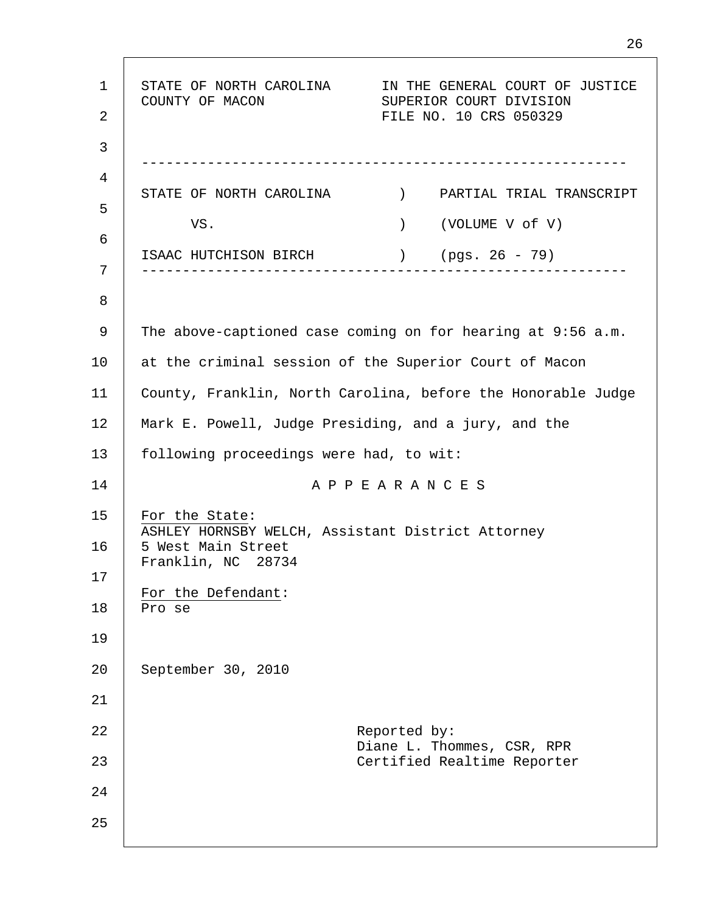1 2 3 4 5 6 7 8 9 10 11 12 13 14 15 16 17 18 19 20 21 22 23 24 25 STATE OF NORTH CAROLINA IN THE GENERAL COURT OF JUSTICE COUNTY OF MACON SUPERIOR COURT DIVISION FILE NO. 10 CRS 050329 ----------------------------------------------------------- STATE OF NORTH CAROLINA ) PARTIAL TRIAL TRANSCRIPT VS. (VOLUME V of V) ISAAC HUTCHISON BIRCH ) (pgs. 26 - 79) ----------------------------------------------------------- The above-captioned case coming on for hearing at 9:56 a.m. at the criminal session of the Superior Court of Macon County, Franklin, North Carolina, before the Honorable Judge Mark E. Powell, Judge Presiding, and a jury, and the following proceedings were had, to wit: A P P E A R A N C E S For the State: ASHLEY HORNSBY WELCH, Assistant District Attorney 5 West Main Street Franklin, NC 28734 For the Defendant: Pro se September 30, 2010 Reported by: Diane L. Thommes, CSR, RPR Certified Realtime Reporter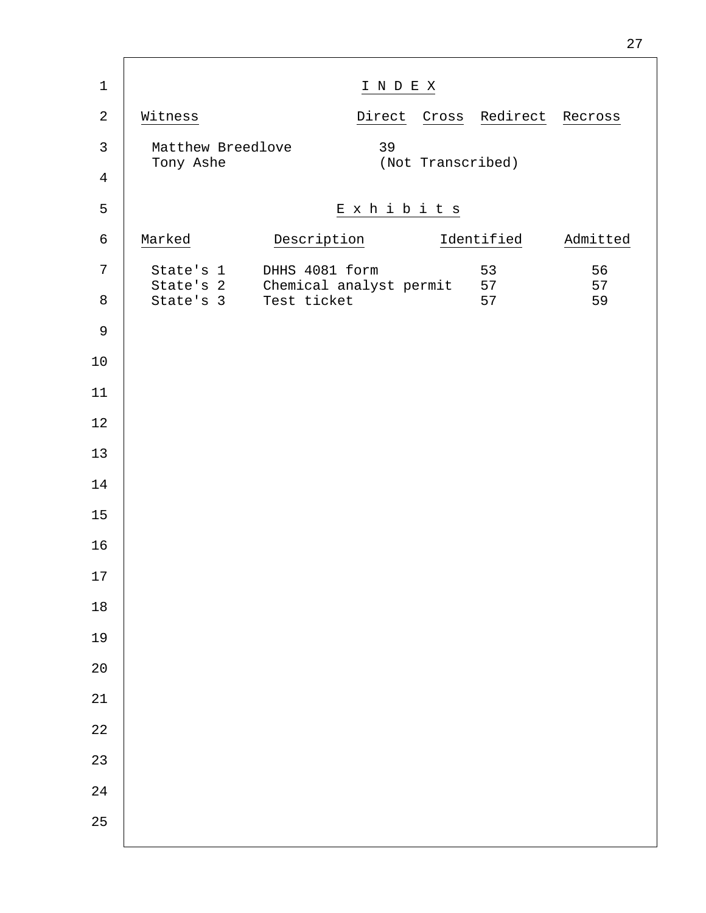| $\mathbf 1$    |                                                   | INDEX          |                   |                       |          |
|----------------|---------------------------------------------------|----------------|-------------------|-----------------------|----------|
| $\sqrt{2}$     | Witness                                           |                |                   | Direct Cross Redirect | Recross  |
| $\mathsf{3}$   | Matthew Breedlove<br>Tony Ashe                    | 39             | (Not Transcribed) |                       |          |
| $\overline{4}$ |                                                   |                |                   |                       |          |
| 5              |                                                   | Exhibits       |                   |                       |          |
| $\epsilon$     | Marked                                            | Description    |                   | Identified            | Admitted |
| 7              | State's 1<br>State's 2 Chemical analyst permit 57 | DHHS 4081 form |                   | 53                    | 56<br>57 |
| $\,8\,$        | State's 3 Test ticket                             |                |                   | 57                    | 59       |
| $\mathsf 9$    |                                                   |                |                   |                       |          |
| $10$           |                                                   |                |                   |                       |          |
| 11             |                                                   |                |                   |                       |          |
| $1\,2$         |                                                   |                |                   |                       |          |
| 13             |                                                   |                |                   |                       |          |
| 14             |                                                   |                |                   |                       |          |
| 15             |                                                   |                |                   |                       |          |
| 16             |                                                   |                |                   |                       |          |
| 17             |                                                   |                |                   |                       |          |
| $18\,$         |                                                   |                |                   |                       |          |
| 19             |                                                   |                |                   |                       |          |
| $2\,0$         |                                                   |                |                   |                       |          |
| 21             |                                                   |                |                   |                       |          |
| 22             |                                                   |                |                   |                       |          |
| 23             |                                                   |                |                   |                       |          |
| 24             |                                                   |                |                   |                       |          |
| 25             |                                                   |                |                   |                       |          |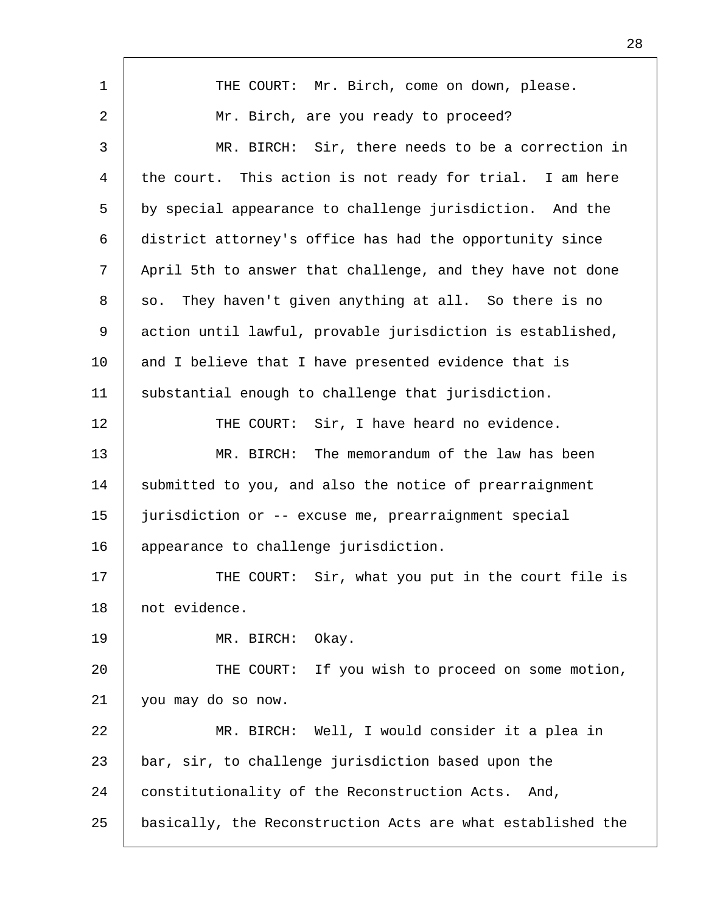| $\mathbf{1}$   | THE COURT: Mr. Birch, come on down, please.                 |
|----------------|-------------------------------------------------------------|
| $\overline{a}$ | Mr. Birch, are you ready to proceed?                        |
| 3              | MR. BIRCH: Sir, there needs to be a correction in           |
| 4              | the court. This action is not ready for trial. I am here    |
| 5              | by special appearance to challenge jurisdiction. And the    |
| 6              | district attorney's office has had the opportunity since    |
| 7              | April 5th to answer that challenge, and they have not done  |
| 8              | so. They haven't given anything at all. So there is no      |
| 9              | action until lawful, provable jurisdiction is established,  |
| 10             | and I believe that I have presented evidence that is        |
| 11             | substantial enough to challenge that jurisdiction.          |
| 12             | Sir, I have heard no evidence.<br>THE COURT:                |
| 13             | MR. BIRCH: The memorandum of the law has been               |
| 14             | submitted to you, and also the notice of prearraignment     |
| 15             | jurisdiction or -- excuse me, prearraignment special        |
| 16             | appearance to challenge jurisdiction.                       |
| 17             | THE COURT: Sir, what you put in the court file is           |
| 18             | not evidence.                                               |
| 19             | MR. BIRCH:<br>Okay.                                         |
| 20             | THE COURT: If you wish to proceed on some motion,           |
| 21             | you may do so now.                                          |
| 22             | MR. BIRCH: Well, I would consider it a plea in              |
| 23             | bar, sir, to challenge jurisdiction based upon the          |
| 24             | constitutionality of the Reconstruction Acts.<br>And,       |
| 25             | basically, the Reconstruction Acts are what established the |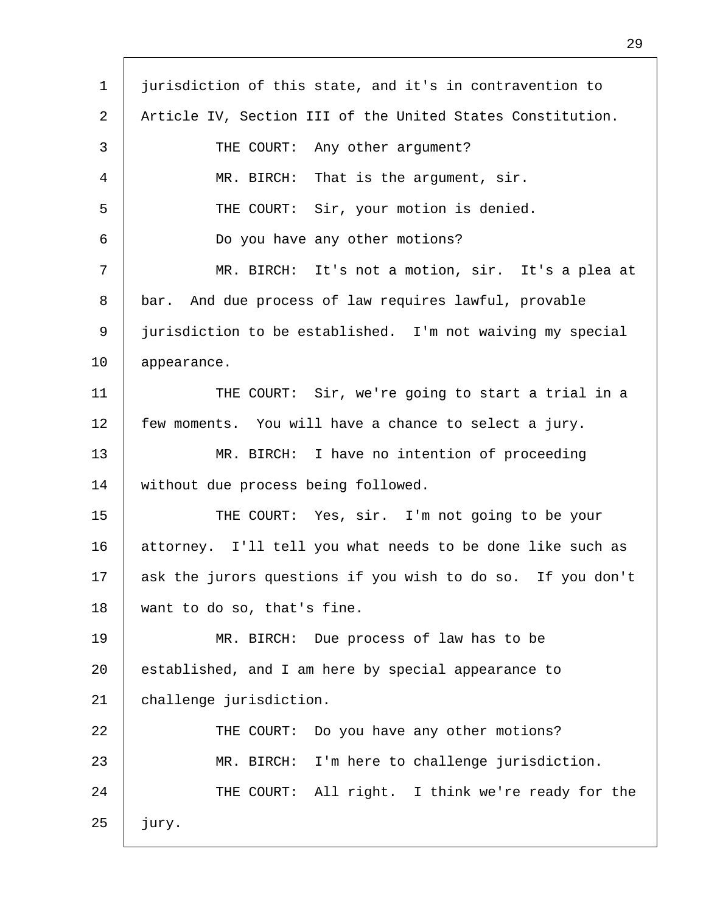| $\mathbf 1$ | jurisdiction of this state, and it's in contravention to    |
|-------------|-------------------------------------------------------------|
| 2           | Article IV, Section III of the United States Constitution.  |
| 3           | THE COURT: Any other argument?                              |
| 4           | MR. BIRCH: That is the argument, sir.                       |
| 5           | THE COURT: Sir, your motion is denied.                      |
| 6           | Do you have any other motions?                              |
| 7           | MR. BIRCH: It's not a motion, sir. It's a plea at           |
| 8           | bar. And due process of law requires lawful, provable       |
| 9           | jurisdiction to be established. I'm not waiving my special  |
| 10          | appearance.                                                 |
| 11          | THE COURT: Sir, we're going to start a trial in a           |
| 12          | few moments. You will have a chance to select a jury.       |
| 13          | MR. BIRCH: I have no intention of proceeding                |
| 14          | without due process being followed.                         |
| 15          | THE COURT: Yes, sir. I'm not going to be your               |
| 16          | attorney. I'll tell you what needs to be done like such as  |
| 17          | ask the jurors questions if you wish to do so. If you don't |
| 18          | want to do so, that's fine.                                 |
| 19          | MR. BIRCH: Due process of law has to be                     |
| 20          | established, and I am here by special appearance to         |
| 21          | challenge jurisdiction.                                     |
| 22          | Do you have any other motions?<br>THE COURT:                |
| 23          | MR. BIRCH: I'm here to challenge jurisdiction.              |
| 24          | THE COURT: All right. I think we're ready for the           |
| 25          | jury.                                                       |
|             |                                                             |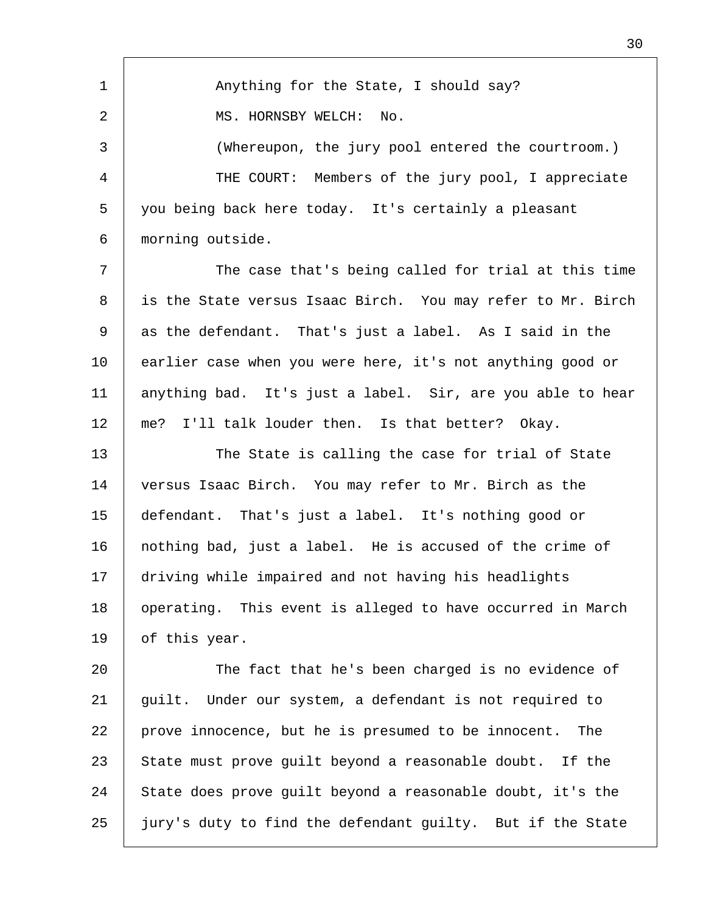1 2 3 4 5 6 7 8 9 10 11 12 13 14 15 16 17 18 19 20 21 22 23 24 25 Anything for the State, I should say? MS. HORNSBY WELCH: No. (Whereupon, the jury pool entered the courtroom.) THE COURT: Members of the jury pool, I appreciate you being back here today. It's certainly a pleasant morning outside. The case that's being called for trial at this time is the State versus Isaac Birch. You may refer to Mr. Birch as the defendant. That's just a label. As I said in the earlier case when you were here, it's not anything good or anything bad. It's just a label. Sir, are you able to hear me? I'll talk louder then. Is that better? Okay. The State is calling the case for trial of State versus Isaac Birch. You may refer to Mr. Birch as the defendant. That's just a label. It's nothing good or nothing bad, just a label. He is accused of the crime of driving while impaired and not having his headlights operating. This event is alleged to have occurred in March of this year. The fact that he's been charged is no evidence of guilt. Under our system, a defendant is not required to prove innocence, but he is presumed to be innocent. The State must prove guilt beyond a reasonable doubt. If the State does prove guilt beyond a reasonable doubt, it's the jury's duty to find the defendant guilty. But if the State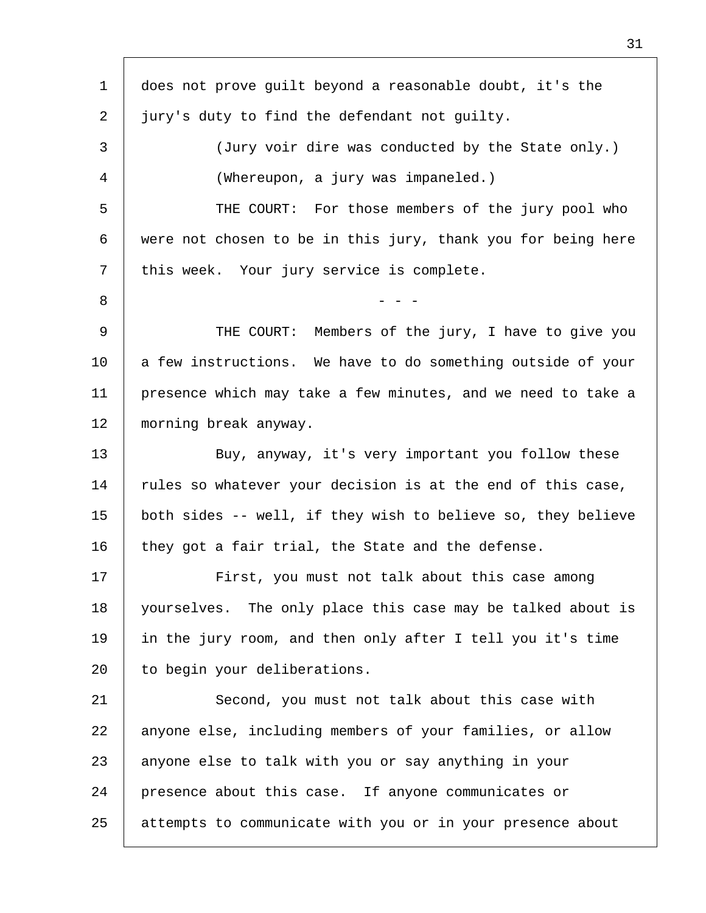| $\mathbf 1$ | does not prove guilt beyond a reasonable doubt, it's the     |
|-------------|--------------------------------------------------------------|
| 2           | jury's duty to find the defendant not guilty.                |
| 3           | (Jury voir dire was conducted by the State only.)            |
| 4           | (Whereupon, a jury was impaneled.)                           |
| 5           | THE COURT: For those members of the jury pool who            |
| 6           | were not chosen to be in this jury, thank you for being here |
| 7           | this week. Your jury service is complete.                    |
| 8           |                                                              |
| 9           | THE COURT: Members of the jury, I have to give you           |
| 10          | a few instructions. We have to do something outside of your  |
| 11          | presence which may take a few minutes, and we need to take a |
| 12          | morning break anyway.                                        |
| 13          | Buy, anyway, it's very important you follow these            |
| 14          | rules so whatever your decision is at the end of this case,  |
| 15          | both sides -- well, if they wish to believe so, they believe |
| 16          | they got a fair trial, the State and the defense.            |
| 17          | First, you must not talk about this case among               |
| 18          | yourselves. The only place this case may be talked about is  |
| 19          | in the jury room, and then only after I tell you it's time   |
| 20          | to begin your deliberations.                                 |
| 21          | Second, you must not talk about this case with               |
| 22          | anyone else, including members of your families, or allow    |
| 23          | anyone else to talk with you or say anything in your         |
| 24          | presence about this case. If anyone communicates or          |
| 25          | attempts to communicate with you or in your presence about   |
|             |                                                              |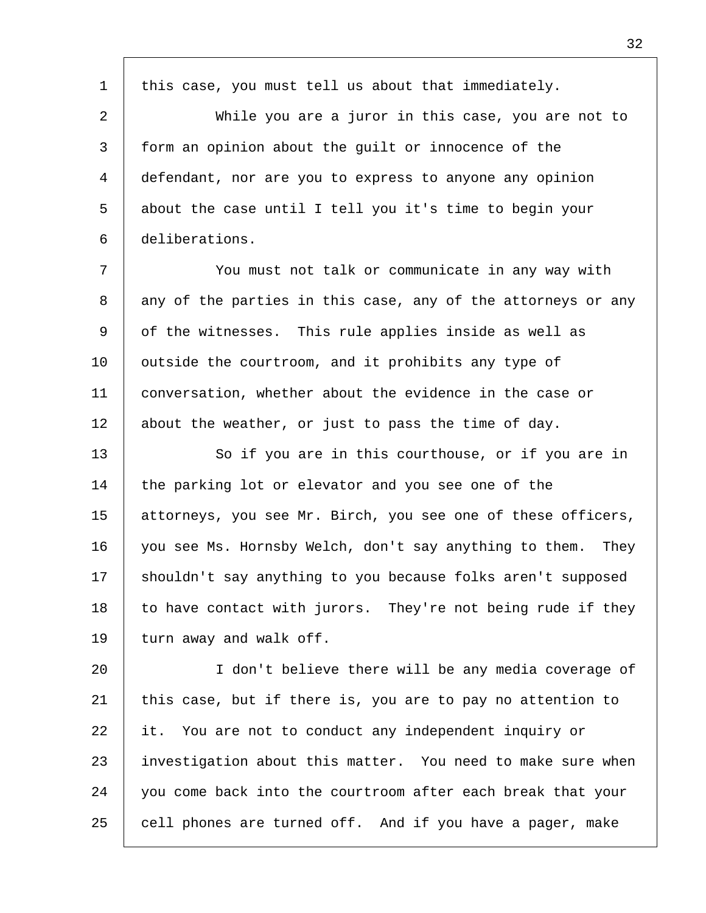1 2 3 4 5 6 7 8 9 10 11 12 13 14 15 16 17 18 19 20 21 22 23 24 this case, you must tell us about that immediately. While you are a juror in this case, you are not to form an opinion about the guilt or innocence of the defendant, nor are you to express to anyone any opinion about the case until I tell you it's time to begin your deliberations. You must not talk or communicate in any way with any of the parties in this case, any of the attorneys or any of the witnesses. This rule applies inside as well as outside the courtroom, and it prohibits any type of conversation, whether about the evidence in the case or about the weather, or just to pass the time of day. So if you are in this courthouse, or if you are in the parking lot or elevator and you see one of the attorneys, you see Mr. Birch, you see one of these officers, you see Ms. Hornsby Welch, don't say anything to them. They shouldn't say anything to you because folks aren't supposed to have contact with jurors. They're not being rude if they turn away and walk off. I don't believe there will be any media coverage of this case, but if there is, you are to pay no attention to it. You are not to conduct any independent inquiry or investigation about this matter. You need to make sure when you come back into the courtroom after each break that your

cell phones are turned off. And if you have a pager, make

25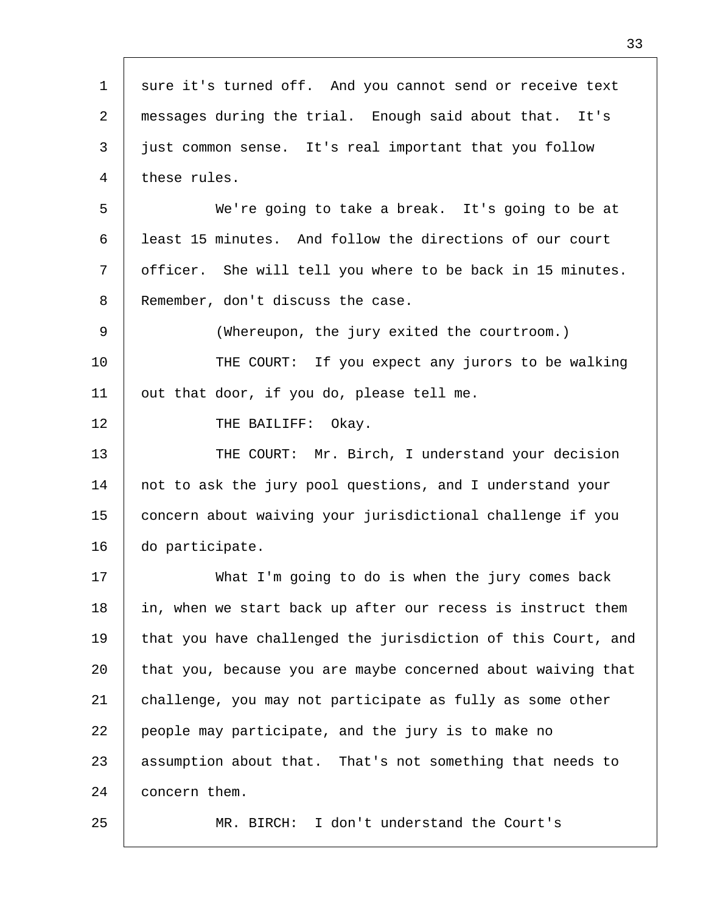| $\mathbf{1}$ | sure it's turned off. And you cannot send or receive text    |
|--------------|--------------------------------------------------------------|
| 2            | messages during the trial. Enough said about that. It's      |
| 3            | just common sense. It's real important that you follow       |
| 4            | these rules.                                                 |
| 5            | We're going to take a break. It's going to be at             |
| 6            | least 15 minutes. And follow the directions of our court     |
| 7            | officer. She will tell you where to be back in 15 minutes.   |
| 8            | Remember, don't discuss the case.                            |
| 9            | (Whereupon, the jury exited the courtroom.)                  |
| 10           | THE COURT: If you expect any jurors to be walking            |
| 11           | out that door, if you do, please tell me.                    |
| 12           | THE BAILIFF:<br>Okay.                                        |
| 13           | THE COURT: Mr. Birch, I understand your decision             |
| 14           | not to ask the jury pool questions, and I understand your    |
| 15           | concern about waiving your jurisdictional challenge if you   |
| 16           | do participate.                                              |
| 17           | What I'm going to do is when the jury comes back             |
| 18           | in, when we start back up after our recess is instruct them  |
| 19           | that you have challenged the jurisdiction of this Court, and |
| 20           | that you, because you are maybe concerned about waiving that |
| 21           | challenge, you may not participate as fully as some other    |
| 22           | people may participate, and the jury is to make no           |
| 23           | assumption about that. That's not something that needs to    |
| 24           | concern them.                                                |
| 25           | I don't understand the Court's<br>MR. BIRCH:                 |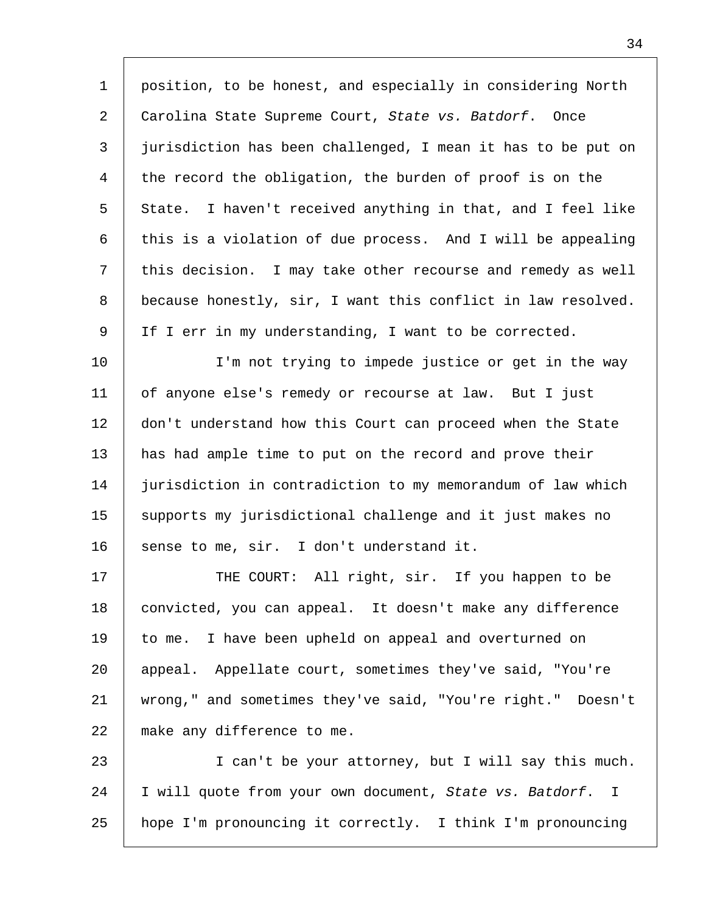| $\mathbf{1}$   | position, to be honest, and especially in considering North  |
|----------------|--------------------------------------------------------------|
| 2              | Carolina State Supreme Court, State vs. Batdorf. Once        |
| 3              | jurisdiction has been challenged, I mean it has to be put on |
| $\overline{4}$ | the record the obligation, the burden of proof is on the     |
| 5              | State. I haven't received anything in that, and I feel like  |
| 6              | this is a violation of due process. And I will be appealing  |
| 7              | this decision. I may take other recourse and remedy as well  |
| 8              | because honestly, sir, I want this conflict in law resolved. |
| 9              | If I err in my understanding, I want to be corrected.        |
| 10             | I'm not trying to impede justice or get in the way           |
| 11             | of anyone else's remedy or recourse at law. But I just       |
| 12             | don't understand how this Court can proceed when the State   |
| 13             | has had ample time to put on the record and prove their      |
| 14             | jurisdiction in contradiction to my memorandum of law which  |
| 15             | supports my jurisdictional challenge and it just makes no    |
| 16             | sense to me, sir. I don't understand it.                     |
| 17             | THE COURT: All right, sir. If you happen to be               |
| 18             | convicted, you can appeal. It doesn't make any difference    |
| 19             | to me. I have been upheld on appeal and overturned on        |
| 20             | appeal. Appellate court, sometimes they've said, "You're     |
| 21             | wrong," and sometimes they've said, "You're right." Doesn't  |
| 22             | make any difference to me.                                   |
| 23             | I can't be your attorney, but I will say this much.          |
| 24             | I will quote from your own document, State vs. Batdorf. I    |
| 25             | hope I'm pronouncing it correctly. I think I'm pronouncing   |

 $\mathsf{l}$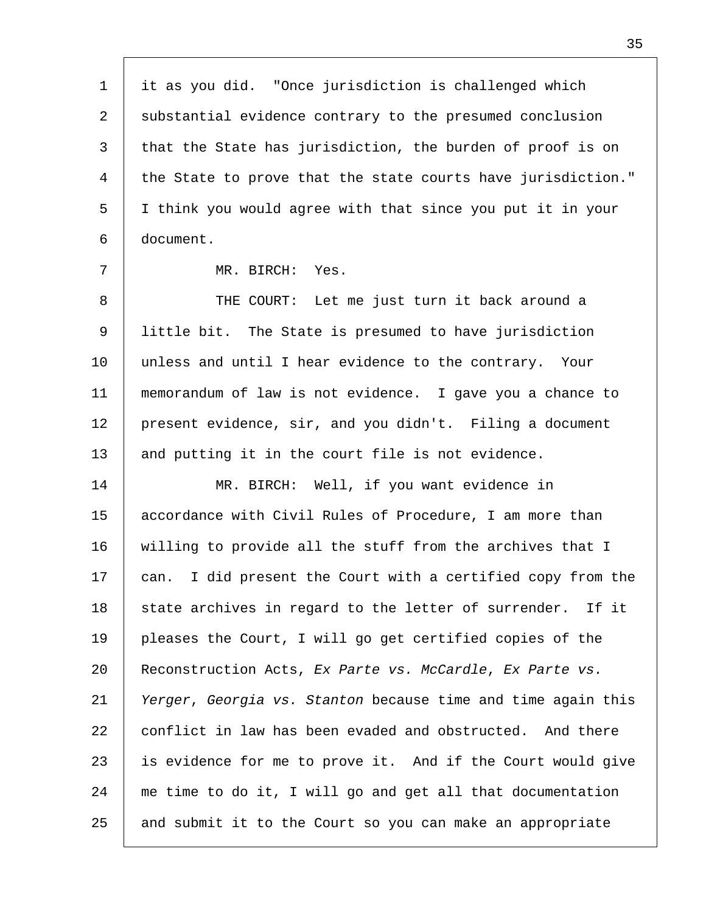1 2 3 4 5 6 7 8 9 10 11 12 13 14 15 16 17 18 19 20 21 22 23 24 25 it as you did. "Once jurisdiction is challenged which substantial evidence contrary to the presumed conclusion that the State has jurisdiction, the burden of proof is on the State to prove that the state courts have jurisdiction." I think you would agree with that since you put it in your document. MR. BIRCH: Yes. THE COURT: Let me just turn it back around a little bit. The State is presumed to have jurisdiction unless and until I hear evidence to the contrary. Your memorandum of law is not evidence. I gave you a chance to present evidence, sir, and you didn't. Filing a document and putting it in the court file is not evidence. MR. BIRCH: Well, if you want evidence in accordance with Civil Rules of Procedure, I am more than willing to provide all the stuff from the archives that I can. I did present the Court with a certified copy from the state archives in regard to the letter of surrender. If it pleases the Court, I will go get certified copies of the Reconstruction Acts, *Ex Parte vs. McCardle*, *Ex Parte vs. Yerger*, *Georgia vs. Stanton* because time and time again this conflict in law has been evaded and obstructed. And there is evidence for me to prove it. And if the Court would give me time to do it, I will go and get all that documentation and submit it to the Court so you can make an appropriate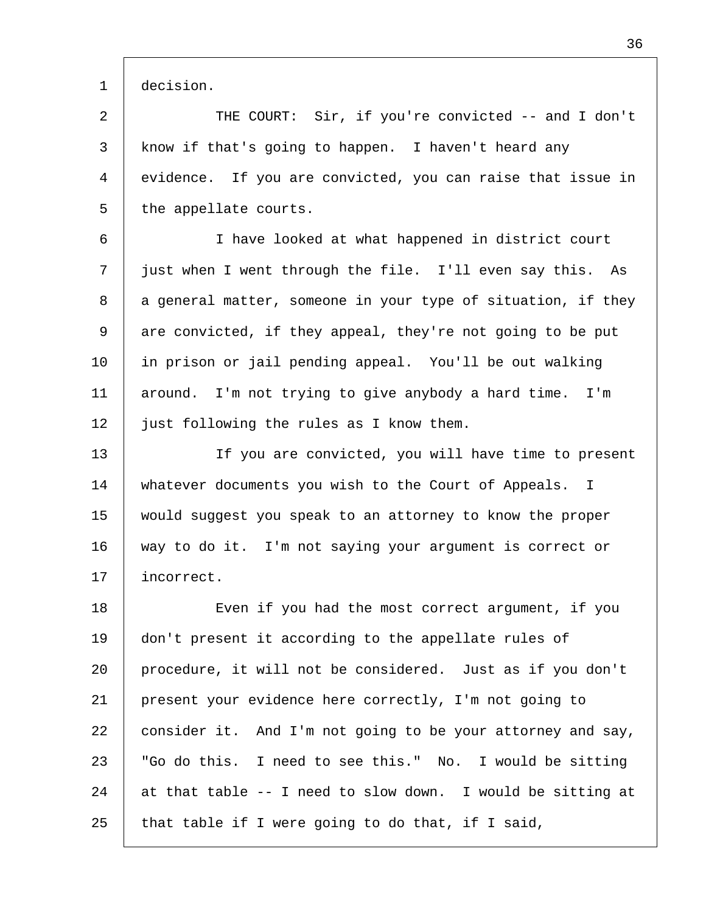1 decision.

2 3 4 5 THE COURT: Sir, if you're convicted -- and I don't know if that's going to happen. I haven't heard any evidence. If you are convicted, you can raise that issue in the appellate courts.

6 7 8 9 10 11 12 I have looked at what happened in district court just when I went through the file. I'll even say this. As a general matter, someone in your type of situation, if they are convicted, if they appeal, they're not going to be put in prison or jail pending appeal. You'll be out walking around. I'm not trying to give anybody a hard time. I'm just following the rules as I know them.

13 14 15 16 17 If you are convicted, you will have time to present whatever documents you wish to the Court of Appeals. I would suggest you speak to an attorney to know the proper way to do it. I'm not saying your argument is correct or incorrect.

18 19 20 21 22 23 24 25 Even if you had the most correct argument, if you don't present it according to the appellate rules of procedure, it will not be considered. Just as if you don't present your evidence here correctly, I'm not going to consider it. And I'm not going to be your attorney and say, "Go do this. I need to see this." No. I would be sitting at that table -- I need to slow down. I would be sitting at that table if I were going to do that, if I said,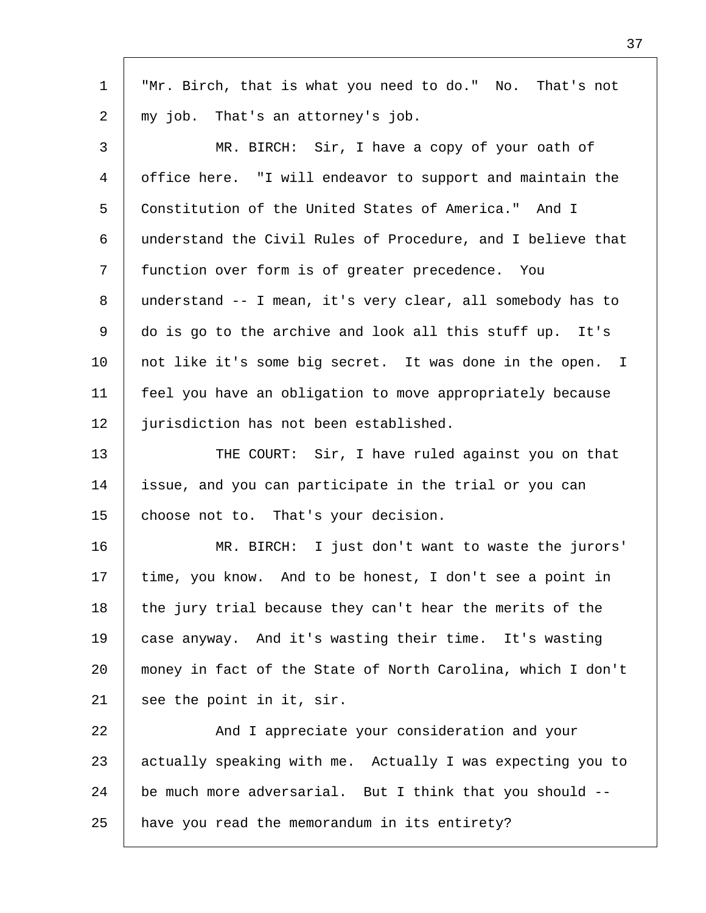| $\mathbf 1$    | "Mr. Birch, that is what you need to do." No. That's not    |
|----------------|-------------------------------------------------------------|
| 2              | my job. That's an attorney's job.                           |
| $\mathsf{3}$   | MR. BIRCH: Sir, I have a copy of your oath of               |
| $\overline{4}$ | office here. "I will endeavor to support and maintain the   |
| 5              | Constitution of the United States of America." And I        |
| 6              | understand the Civil Rules of Procedure, and I believe that |
| 7              | function over form is of greater precedence. You            |
| 8              | understand -- I mean, it's very clear, all somebody has to  |
| 9              | do is go to the archive and look all this stuff up. It's    |
| 10             | not like it's some big secret. It was done in the open. I   |
| 11             | feel you have an obligation to move appropriately because   |
| 12             | jurisdiction has not been established.                      |
| 13             | THE COURT: Sir, I have ruled against you on that            |
| 14             | issue, and you can participate in the trial or you can      |
| 15             | choose not to. That's your decision.                        |
| 16             | MR. BIRCH: I just don't want to waste the jurors'           |
| 17             | time, you know. And to be honest, I don't see a point in    |
| 18             | the jury trial because they can't hear the merits of the    |
| 19             | case anyway. And it's wasting their time. It's wasting      |
| 20             | money in fact of the State of North Carolina, which I don't |
| 21             | see the point in it, sir.                                   |
| 22             | And I appreciate your consideration and your                |
| 23             | actually speaking with me. Actually I was expecting you to  |
| 24             | be much more adversarial. But I think that you should --    |
| 25             | have you read the memorandum in its entirety?               |

Г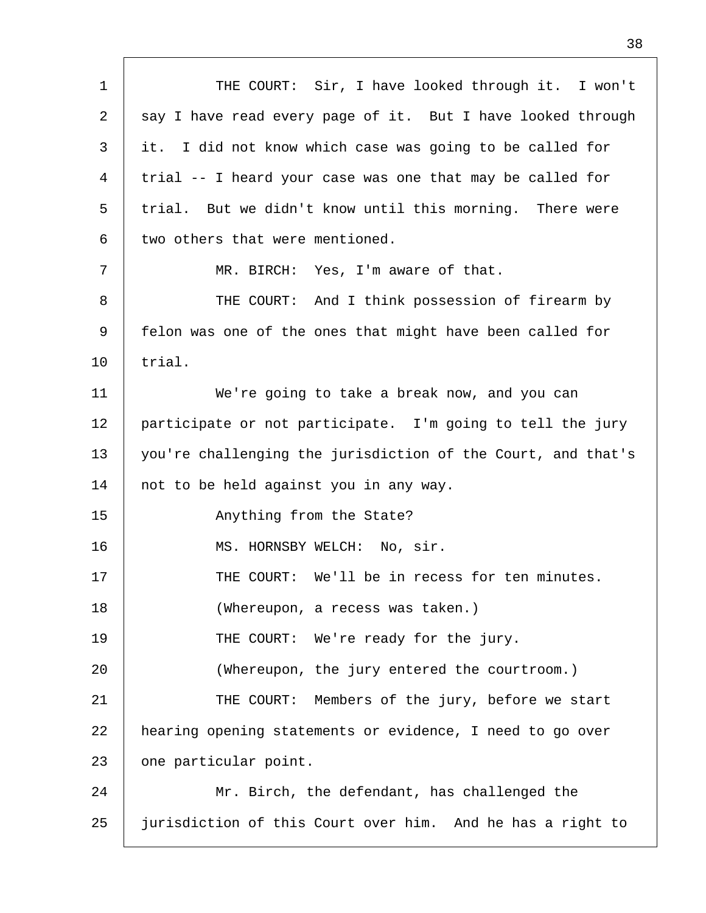| $\mathbf 1$ | THE COURT: Sir, I have looked through it. I won't            |
|-------------|--------------------------------------------------------------|
| 2           | say I have read every page of it. But I have looked through  |
| 3           | it. I did not know which case was going to be called for     |
| 4           | trial -- I heard your case was one that may be called for    |
| 5           | trial. But we didn't know until this morning. There were     |
| 6           | two others that were mentioned.                              |
| 7           | MR. BIRCH: Yes, I'm aware of that.                           |
| 8           | THE COURT: And I think possession of firearm by              |
| 9           | felon was one of the ones that might have been called for    |
| 10          | trial.                                                       |
| 11          | We're going to take a break now, and you can                 |
| 12          | participate or not participate. I'm going to tell the jury   |
| 13          | you're challenging the jurisdiction of the Court, and that's |
| 14          | not to be held against you in any way.                       |
| 15          | Anything from the State?                                     |
| 16          | MS. HORNSBY WELCH: No, sir.                                  |
| 17          | THE COURT: We'll be in recess for ten minutes.               |
| 18          | (Whereupon, a recess was taken.)                             |
| 19          | THE COURT: We're ready for the jury.                         |
| 20          | (Whereupon, the jury entered the courtroom.)                 |
| 21          | THE COURT: Members of the jury, before we start              |
| 22          | hearing opening statements or evidence, I need to go over    |
| 23          | one particular point.                                        |
| 24          | Mr. Birch, the defendant, has challenged the                 |
| 25          | jurisdiction of this Court over him. And he has a right to   |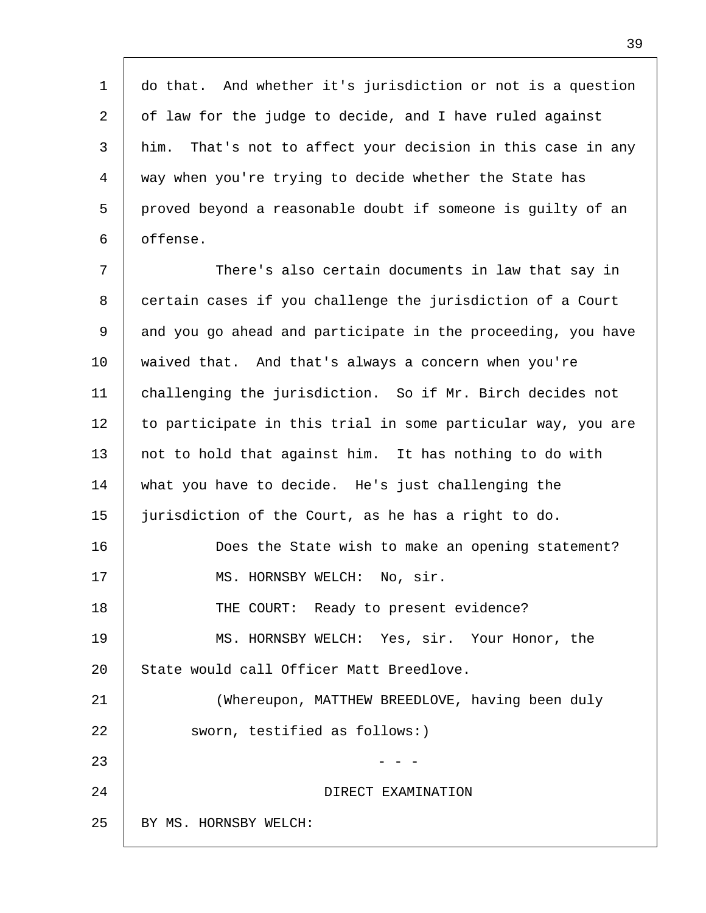1 2 3 4 5 6 do that. And whether it's jurisdiction or not is a question of law for the judge to decide, and I have ruled against him. That's not to affect your decision in this case in any way when you're trying to decide whether the State has proved beyond a reasonable doubt if someone is guilty of an offense.

7 8 9 10 11 12 13 14 15 16 17 18 19 20 21 22 23 24 25 There's also certain documents in law that say in certain cases if you challenge the jurisdiction of a Court and you go ahead and participate in the proceeding, you have waived that. And that's always a concern when you're challenging the jurisdiction. So if Mr. Birch decides not to participate in this trial in some particular way, you are not to hold that against him. It has nothing to do with what you have to decide. He's just challenging the jurisdiction of the Court, as he has a right to do. Does the State wish to make an opening statement? MS. HORNSBY WELCH: No, sir. THE COURT: Ready to present evidence? MS. HORNSBY WELCH: Yes, sir. Your Honor, the State would call Officer Matt Breedlove. (Whereupon, MATTHEW BREEDLOVE, having been duly sworn, testified as follows:) - - - DIRECT EXAMINATION BY MS. HORNSBY WELCH: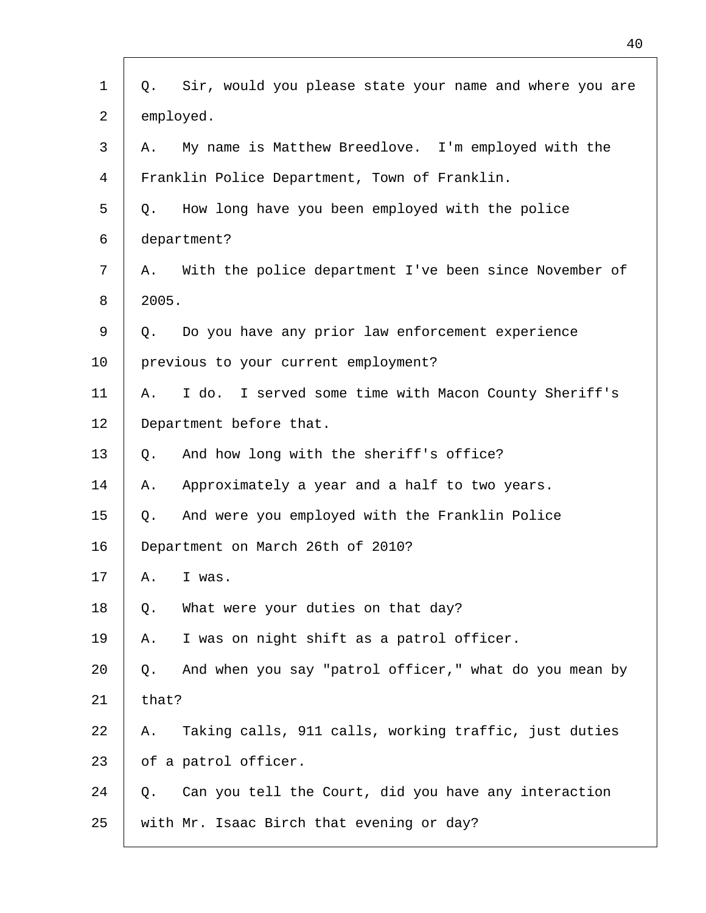| Sir, would you please state your name and where you are<br>Q. |
|---------------------------------------------------------------|
| employed.                                                     |
| My name is Matthew Breedlove. I'm employed with the<br>Α.     |
| Franklin Police Department, Town of Franklin.                 |
| How long have you been employed with the police<br>Q.         |
| department?                                                   |
| With the police department I've been since November of<br>Α.  |
| 2005.                                                         |
| Do you have any prior law enforcement experience<br>Q.        |
| previous to your current employment?                          |
| I do. I served some time with Macon County Sheriff's<br>Α.    |
| Department before that.                                       |
| And how long with the sheriff's office?<br>Q.                 |
| Approximately a year and a half to two years.<br>Α.           |
| And were you employed with the Franklin Police<br>Q.          |
| Department on March 26th of 2010?                             |
| Α.<br>I was.                                                  |
| What were your duties on that day?<br>Q.                      |
| I was on night shift as a patrol officer.<br>Α.               |
| And when you say "patrol officer," what do you mean by<br>Q.  |
| that?                                                         |
| Taking calls, 911 calls, working traffic, just duties<br>Α.   |
| of a patrol officer.                                          |
| Can you tell the Court, did you have any interaction<br>Q.    |
| with Mr. Isaac Birch that evening or day?                     |
|                                                               |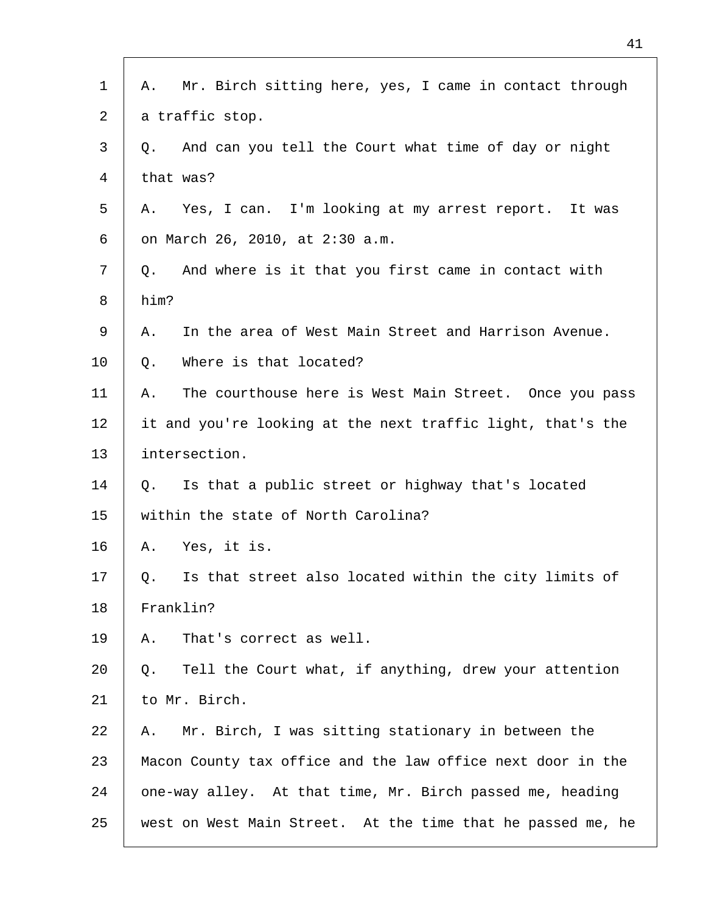| $\mathbf{1}$ | Mr. Birch sitting here, yes, I came in contact through<br>Α. |
|--------------|--------------------------------------------------------------|
| 2            | a traffic stop.                                              |
| 3            | And can you tell the Court what time of day or night<br>Q.   |
| 4            | that was?                                                    |
| 5            | Yes, I can. I'm looking at my arrest report. It was<br>А.    |
| 6            | on March 26, 2010, at 2:30 a.m.                              |
| 7            | And where is it that you first came in contact with<br>Q.    |
| 8            | him?                                                         |
| 9            | In the area of West Main Street and Harrison Avenue.<br>Α.   |
| 10           | Where is that located?<br>Q.                                 |
| 11           | The courthouse here is West Main Street. Once you pass<br>Α. |
| 12           | it and you're looking at the next traffic light, that's the  |
| 13           | intersection.                                                |
| 14           | Is that a public street or highway that's located<br>Q.      |
| 15           | within the state of North Carolina?                          |
| 16           | Yes, it is.<br>Α.                                            |
| 17           | Is that street also located within the city limits of<br>Q.  |
| 18           | Franklin?                                                    |
| 19           | That's correct as well.<br>Α.                                |
| 20           | Tell the Court what, if anything, drew your attention<br>Q.  |
| 21           | to Mr. Birch.                                                |
| 22           | Mr. Birch, I was sitting stationary in between the<br>Α.     |
| 23           | Macon County tax office and the law office next door in the  |
| 24           | one-way alley. At that time, Mr. Birch passed me, heading    |
| 25           | west on West Main Street. At the time that he passed me, he  |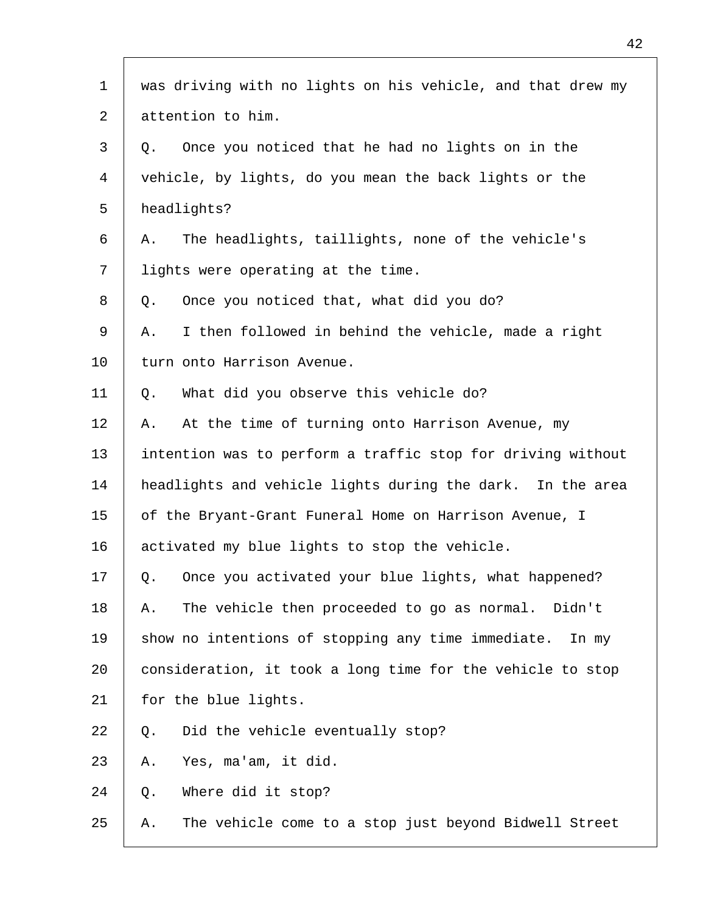| $\mathbf{1}$ | was driving with no lights on his vehicle, and that drew my |
|--------------|-------------------------------------------------------------|
| 2            | attention to him.                                           |
| 3            | Once you noticed that he had no lights on in the<br>Q.      |
| 4            | vehicle, by lights, do you mean the back lights or the      |
| 5            | headlights?                                                 |
| 6            | The headlights, taillights, none of the vehicle's<br>Α.     |
| 7            | lights were operating at the time.                          |
| 8            | Once you noticed that, what did you do?<br>Q.               |
| 9            | I then followed in behind the vehicle, made a right<br>Α.   |
| 10           | turn onto Harrison Avenue.                                  |
| 11           | What did you observe this vehicle do?<br>Q.                 |
| 12           | At the time of turning onto Harrison Avenue, my<br>Α.       |
| 13           | intention was to perform a traffic stop for driving without |
| 14           | headlights and vehicle lights during the dark. In the area  |
| 15           | of the Bryant-Grant Funeral Home on Harrison Avenue, I      |
| 16           | activated my blue lights to stop the vehicle.               |
| 17           | Once you activated your blue lights, what happened?<br>Q.   |
| 18           | The vehicle then proceeded to go as normal. Didn't<br>Α.    |
| 19           | show no intentions of stopping any time immediate.<br>In my |
| 20           | consideration, it took a long time for the vehicle to stop  |
| 21           | for the blue lights.                                        |
| 22           | Did the vehicle eventually stop?<br>Q.                      |
| 23           | Yes, ma'am, it did.<br>Α.                                   |
| 24           | Where did it stop?<br>Q.                                    |
| 25           | The vehicle come to a stop just beyond Bidwell Street<br>Α. |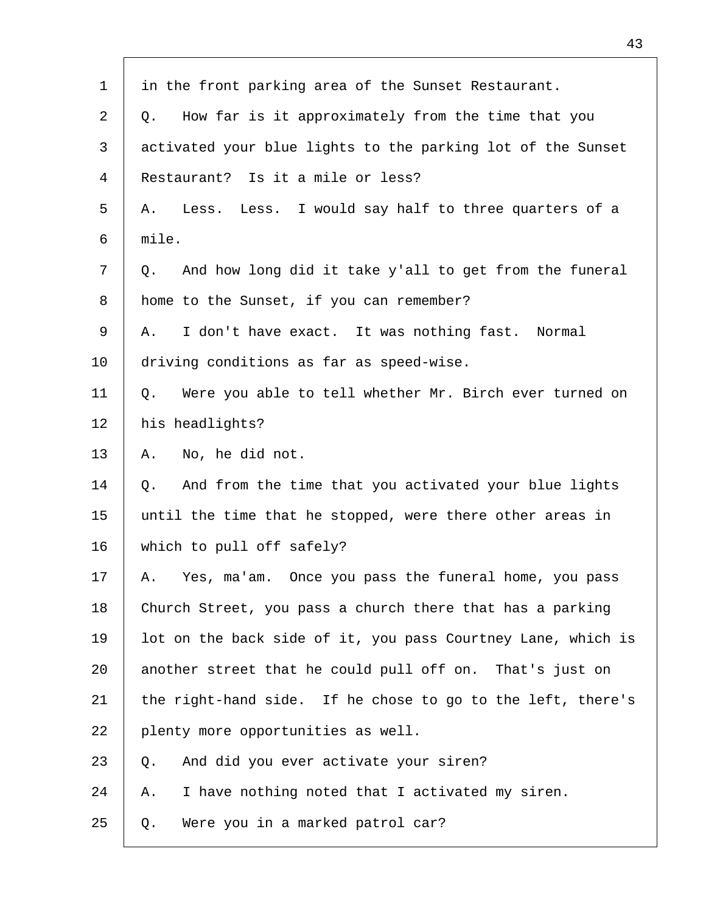| $\mathbf 1$ | in the front parking area of the Sunset Restaurant.          |
|-------------|--------------------------------------------------------------|
| 2           | How far is it approximately from the time that you<br>Q.     |
| 3           | activated your blue lights to the parking lot of the Sunset  |
| 4           | Restaurant? Is it a mile or less?                            |
| 5           | Less. Less. I would say half to three quarters of a<br>Α.    |
| 6           | mile.                                                        |
| 7           | And how long did it take y'all to get from the funeral<br>Q. |
| 8           | home to the Sunset, if you can remember?                     |
| 9           | I don't have exact. It was nothing fast. Normal<br>Α.        |
| 10          | driving conditions as far as speed-wise.                     |
| 11          | Were you able to tell whether Mr. Birch ever turned on<br>Q. |
| 12          | his headlights?                                              |
| 13          | No, he did not.<br>Α.                                        |
| 14          | And from the time that you activated your blue lights<br>Q.  |
| 15          | until the time that he stopped, were there other areas in    |
| 16          | which to pull off safely?                                    |
| 17          | Yes, ma'am. Once you pass the funeral home, you pass<br>Α.   |
| 18          | Church Street, you pass a church there that has a parking    |
| 19          | lot on the back side of it, you pass Courtney Lane, which is |
| 20          | another street that he could pull off on. That's just on     |
| 21          | the right-hand side. If he chose to go to the left, there's  |
| 22          | plenty more opportunities as well.                           |
| 23          | And did you ever activate your siren?<br>Q.                  |
| 24          | I have nothing noted that I activated my siren.<br>Α.        |
| 25          | Were you in a marked patrol car?<br>Q.                       |
|             |                                                              |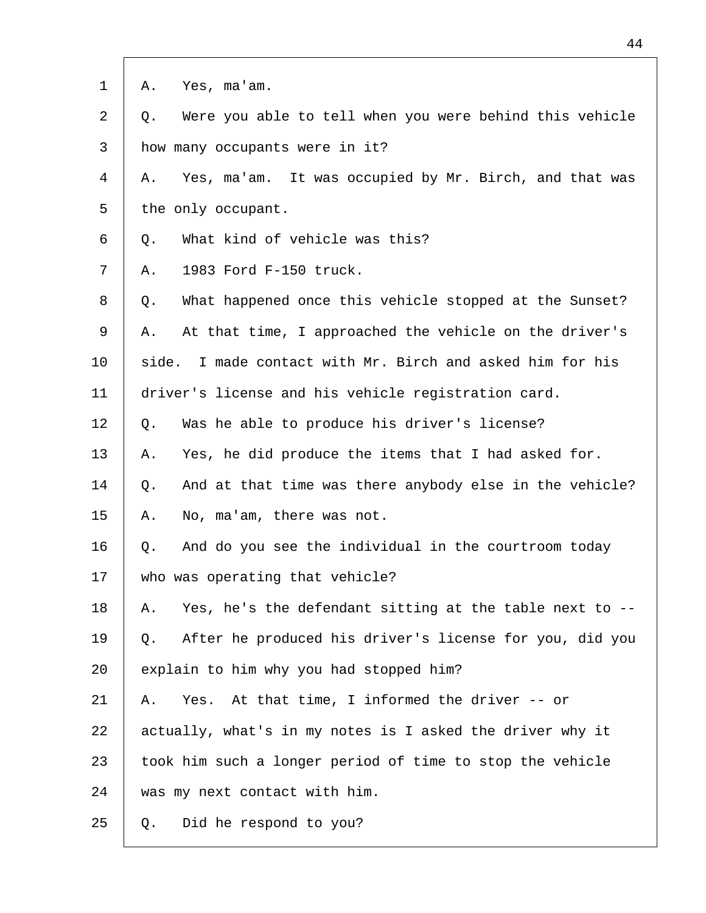| $\mathbf 1$ | Yes, ma'am.<br>Α.                                             |
|-------------|---------------------------------------------------------------|
| 2           | Were you able to tell when you were behind this vehicle<br>Q. |
| 3           | how many occupants were in it?                                |
| 4           | Yes, ma'am. It was occupied by Mr. Birch, and that was<br>Α.  |
| 5           | the only occupant.                                            |
| 6           | What kind of vehicle was this?<br>Q.                          |
| 7           | 1983 Ford F-150 truck.<br>Α.                                  |
| 8           | What happened once this vehicle stopped at the Sunset?<br>Q.  |
| 9           | At that time, I approached the vehicle on the driver's<br>Α.  |
| 10          | I made contact with Mr. Birch and asked him for his<br>side.  |
| 11          | driver's license and his vehicle registration card.           |
| 12          | Was he able to produce his driver's license?<br>Q.            |
| 13          | Yes, he did produce the items that I had asked for.<br>Α.     |
| 14          | And at that time was there anybody else in the vehicle?<br>Q. |
| 15          | No, ma'am, there was not.<br>Α.                               |
| 16          | And do you see the individual in the courtroom today<br>Q.    |
| 17          | who was operating that vehicle?                               |
| 18          | Yes, he's the defendant sitting at the table next to --<br>А. |
| 19          | After he produced his driver's license for you, did you<br>Q. |
| 20          | explain to him why you had stopped him?                       |
| 21          | Yes. At that time, I informed the driver -- or<br>Α.          |
| 22          | actually, what's in my notes is I asked the driver why it     |
| 23          | took him such a longer period of time to stop the vehicle     |
| 24          | was my next contact with him.                                 |
| 25          | Did he respond to you?<br>Q.                                  |

- F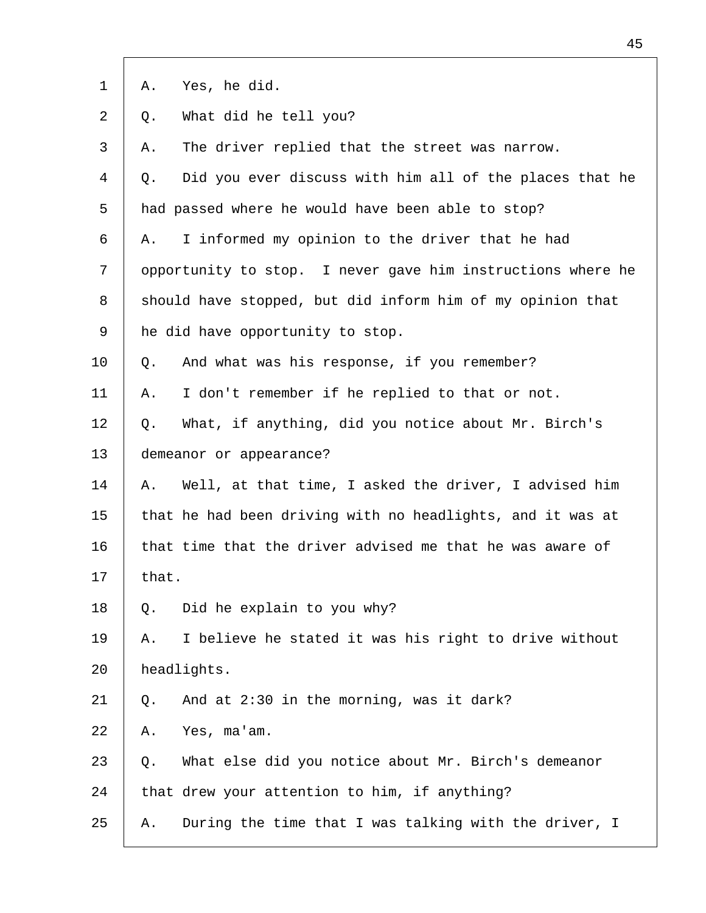| $\mathbf 1$    | Yes, he did.<br>Α.                                            |  |
|----------------|---------------------------------------------------------------|--|
| 2              | What did he tell you?<br>Q.                                   |  |
| 3              | The driver replied that the street was narrow.<br>Α.          |  |
| $\overline{4}$ | Did you ever discuss with him all of the places that he<br>Q. |  |
| 5              | had passed where he would have been able to stop?             |  |
| 6              | I informed my opinion to the driver that he had<br>Α.         |  |
| 7              | opportunity to stop. I never gave him instructions where he   |  |
| 8              | should have stopped, but did inform him of my opinion that    |  |
| 9              | he did have opportunity to stop.                              |  |
| 10             | And what was his response, if you remember?<br>Q.             |  |
| 11             | I don't remember if he replied to that or not.<br>Α.          |  |
| 12             | What, if anything, did you notice about Mr. Birch's<br>Q.     |  |
| 13             | demeanor or appearance?                                       |  |
| 14             | Well, at that time, I asked the driver, I advised him<br>Α.   |  |
| 15             | that he had been driving with no headlights, and it was at    |  |
| 16             | that time that the driver advised me that he was aware of     |  |
| 17             | that.                                                         |  |
| 18             | Did he explain to you why?<br>Q.                              |  |
| 19             | I believe he stated it was his right to drive without<br>Α.   |  |
| 20             | headlights.                                                   |  |
| 21             | And at 2:30 in the morning, was it dark?<br>Q.                |  |
| 22             | Yes, ma'am.<br>Α.                                             |  |
| 23             | What else did you notice about Mr. Birch's demeanor<br>Q.     |  |
| 24             | that drew your attention to him, if anything?                 |  |
| 25             | During the time that I was talking with the driver, I<br>Α.   |  |
|                |                                                               |  |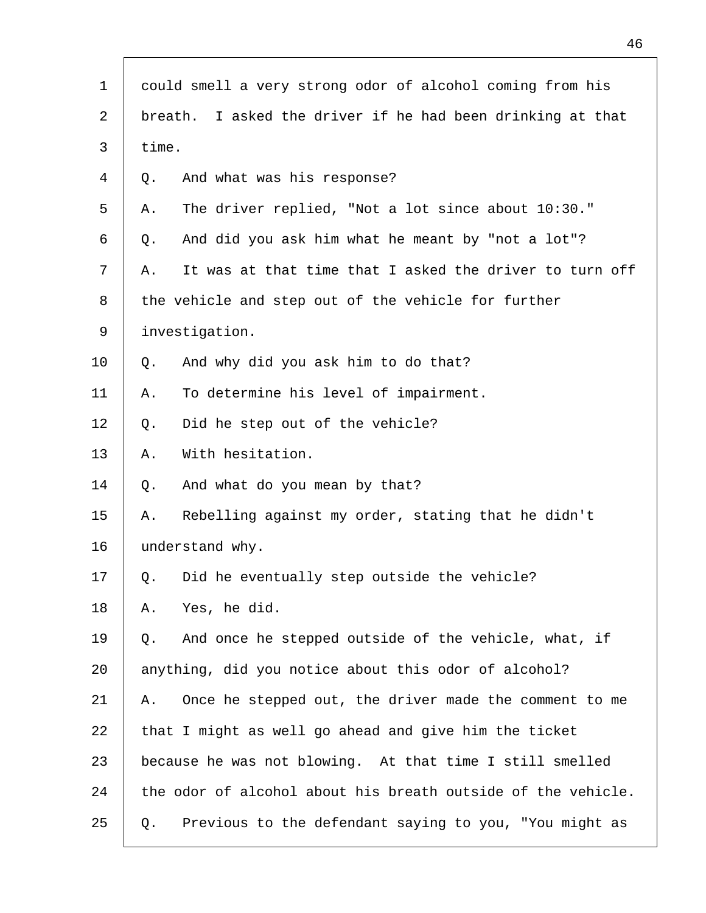| 1  | could smell a very strong odor of alcohol coming from his     |
|----|---------------------------------------------------------------|
| 2  | I asked the driver if he had been drinking at that<br>breath. |
| 3  | time.                                                         |
| 4  | And what was his response?<br>Q.                              |
| 5  | The driver replied, "Not a lot since about 10:30."<br>Α.      |
| 6  | And did you ask him what he meant by "not a lot"?<br>Q.       |
| 7  | It was at that time that I asked the driver to turn off<br>Α. |
| 8  | the vehicle and step out of the vehicle for further           |
| 9  | investigation.                                                |
| 10 | And why did you ask him to do that?<br>Q.                     |
| 11 | To determine his level of impairment.<br>Α.                   |
| 12 | Did he step out of the vehicle?<br>Q.                         |
| 13 | With hesitation.<br>Α.                                        |
| 14 | And what do you mean by that?<br>Q.                           |
| 15 | Rebelling against my order, stating that he didn't<br>Α.      |
| 16 | understand why.                                               |
| 17 | Did he eventually step outside the vehicle?<br>Q.             |
| 18 | Yes, he did.<br>Α.                                            |
| 19 | And once he stepped outside of the vehicle, what, if<br>Q.    |
| 20 | anything, did you notice about this odor of alcohol?          |
| 21 | Once he stepped out, the driver made the comment to me<br>Α.  |
| 22 | that I might as well go ahead and give him the ticket         |
| 23 | because he was not blowing. At that time I still smelled      |
| 24 | the odor of alcohol about his breath outside of the vehicle.  |
| 25 | Previous to the defendant saying to you, "You might as<br>Q.  |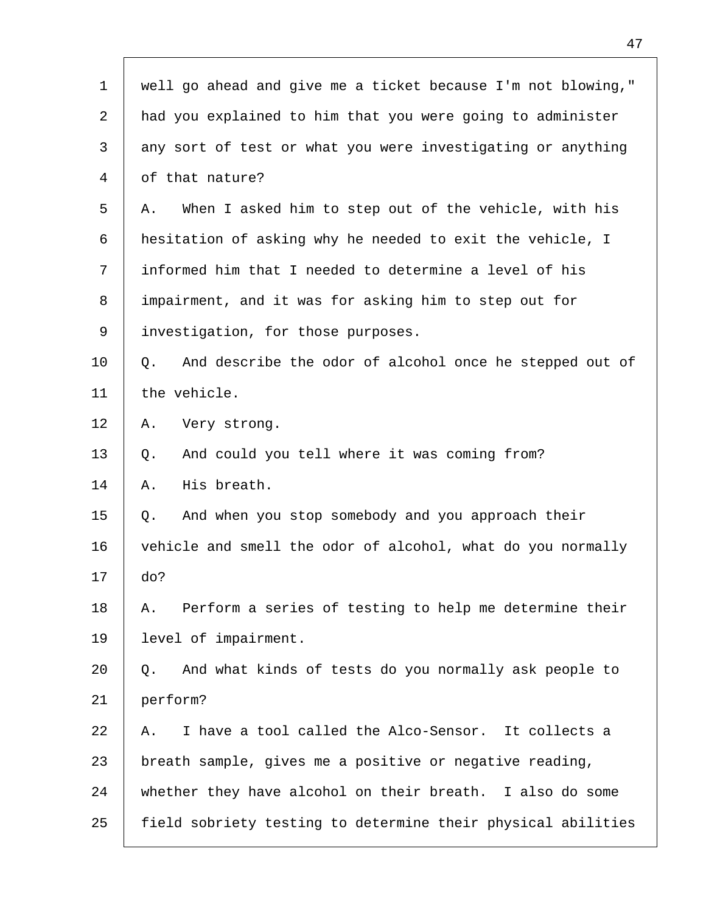| 1              | well go ahead and give me a ticket because I'm not blowing,"  |
|----------------|---------------------------------------------------------------|
| 2              | had you explained to him that you were going to administer    |
| 3              | any sort of test or what you were investigating or anything   |
| $\overline{4}$ | of that nature?                                               |
| 5              | When I asked him to step out of the vehicle, with his<br>Α.   |
| 6              | hesitation of asking why he needed to exit the vehicle, I     |
| 7              | informed him that I needed to determine a level of his        |
| 8              | impairment, and it was for asking him to step out for         |
| 9              | investigation, for those purposes.                            |
| 10             | And describe the odor of alcohol once he stepped out of<br>Q. |
| 11             | the vehicle.                                                  |
| 12             | Α.<br>Very strong.                                            |
| 13             | And could you tell where it was coming from?<br>Q.            |
| 14             | His breath.<br>Α.                                             |
| 15             | And when you stop somebody and you approach their<br>Q.       |
| 16             | vehicle and smell the odor of alcohol, what do you normally   |
| 17             | do?                                                           |
| 18             | Perform a series of testing to help me determine their<br>Α.  |
| 19             | level of impairment.                                          |
| 20             | And what kinds of tests do you normally ask people to<br>Q.   |
| 21             | perform?                                                      |
| 22             | I have a tool called the Alco-Sensor. It collects a<br>Α.     |
| 23             | breath sample, gives me a positive or negative reading,       |
| 24             | whether they have alcohol on their breath. I also do some     |
| 25             | field sobriety testing to determine their physical abilities  |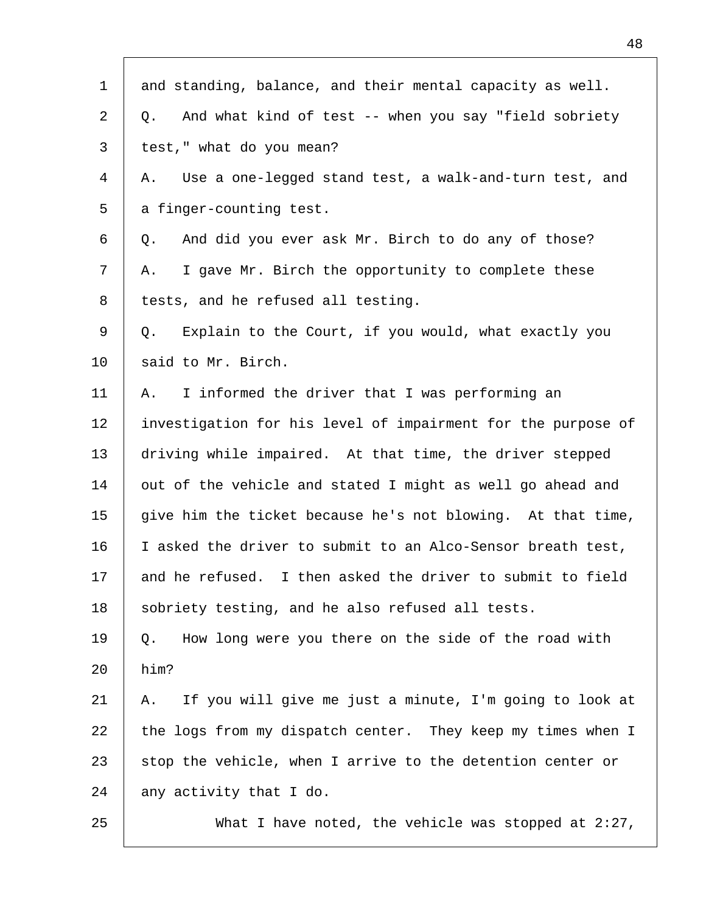| $\mathbf 1$ | and standing, balance, and their mental capacity as well.     |
|-------------|---------------------------------------------------------------|
| 2           | And what kind of test -- when you say "field sobriety<br>Q.   |
| 3           | test," what do you mean?                                      |
| 4           | Use a one-legged stand test, a walk-and-turn test, and<br>Α.  |
| 5           | a finger-counting test.                                       |
| 6           | And did you ever ask Mr. Birch to do any of those?<br>Q.      |
| 7           | I gave Mr. Birch the opportunity to complete these<br>Α.      |
| 8           | tests, and he refused all testing.                            |
| 9           | Explain to the Court, if you would, what exactly you<br>Q.    |
| 10          | said to Mr. Birch.                                            |
| 11          | I informed the driver that I was performing an<br>Α.          |
| 12          | investigation for his level of impairment for the purpose of  |
| 13          | driving while impaired. At that time, the driver stepped      |
| 14          | out of the vehicle and stated I might as well go ahead and    |
| 15          | give him the ticket because he's not blowing. At that time,   |
| 16          | I asked the driver to submit to an Alco-Sensor breath test,   |
| 17          | and he refused. I then asked the driver to submit to field    |
| 18          | sobriety testing, and he also refused all tests.              |
| 19          | How long were you there on the side of the road with<br>Q.    |
| 20          | him?                                                          |
| 21          | If you will give me just a minute, I'm going to look at<br>Α. |
| 22          | the logs from my dispatch center. They keep my times when I   |
| 23          | stop the vehicle, when I arrive to the detention center or    |
| 24          | any activity that I do.                                       |
| 25          | What I have noted, the vehicle was stopped at $2:27$ ,        |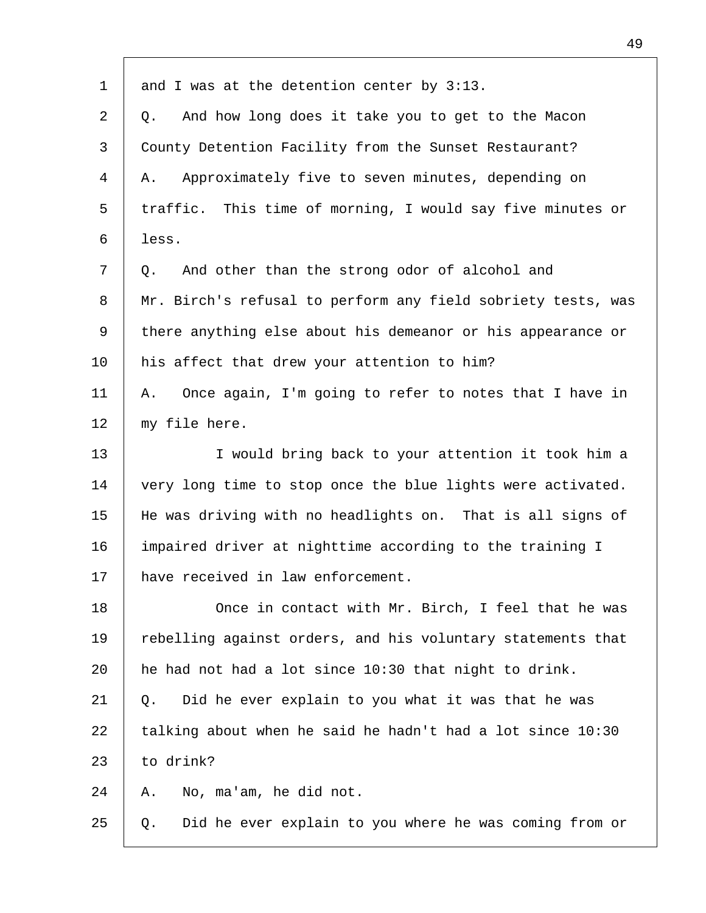| $\mathbf 1$    | and I was at the detention center by $3:13$ .                |
|----------------|--------------------------------------------------------------|
| 2              | And how long does it take you to get to the Macon<br>Q.      |
| 3              | County Detention Facility from the Sunset Restaurant?        |
| $\overline{4}$ | Approximately five to seven minutes, depending on<br>Α.      |
| 5              | traffic. This time of morning, I would say five minutes or   |
| 6              | less.                                                        |
| 7              | And other than the strong odor of alcohol and<br>Q.          |
| 8              | Mr. Birch's refusal to perform any field sobriety tests, was |
| 9              | there anything else about his demeanor or his appearance or  |
| 10             | his affect that drew your attention to him?                  |
| 11             | Once again, I'm going to refer to notes that I have in<br>Α. |
| 12             | my file here.                                                |
| 13             | I would bring back to your attention it took him a           |
| 14             | very long time to stop once the blue lights were activated.  |
| 15             | He was driving with no headlights on. That is all signs of   |
| 16             | impaired driver at nighttime according to the training I     |
| 17             | have received in law enforcement.                            |
| 18             | Once in contact with Mr. Birch, I feel that he was           |
| 19             | rebelling against orders, and his voluntary statements that  |
| 20             | he had not had a lot since 10:30 that night to drink.        |
| 21             | Did he ever explain to you what it was that he was<br>Q.     |
| 22             | talking about when he said he hadn't had a lot since 10:30   |
| 23             | to drink?                                                    |
| 24             | No, ma'am, he did not.<br>Α.                                 |
| 25             | Did he ever explain to you where he was coming from or<br>Q. |
|                |                                                              |

Г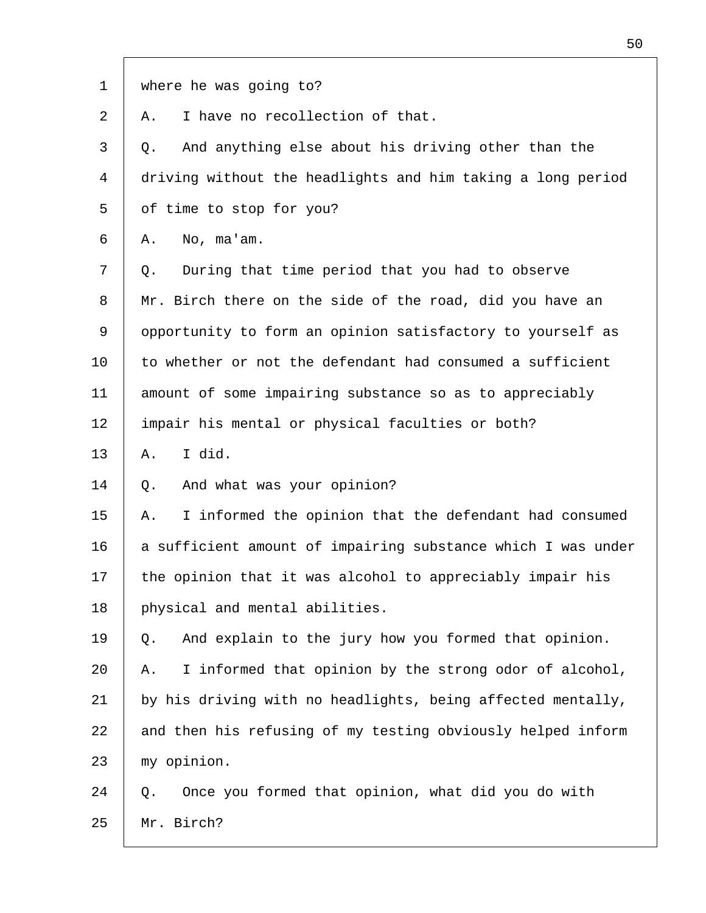| $\mathbf 1$ | where he was going to?                                       |
|-------------|--------------------------------------------------------------|
| 2           | I have no recollection of that.<br>Α.                        |
| 3           | And anything else about his driving other than the<br>Q.     |
| 4           | driving without the headlights and him taking a long period  |
| 5           | of time to stop for you?                                     |
| 6           | No, ma'am.<br>Α.                                             |
| 7           | During that time period that you had to observe<br>Q.        |
| 8           | Mr. Birch there on the side of the road, did you have an     |
| 9           | opportunity to form an opinion satisfactory to yourself as   |
| 10          | to whether or not the defendant had consumed a sufficient    |
| 11          | amount of some impairing substance so as to appreciably      |
| 12          | impair his mental or physical faculties or both?             |
| 13          | I did.<br>Α.                                                 |
| 14          | And what was your opinion?<br>Q.                             |
| 15          | I informed the opinion that the defendant had consumed<br>Α. |
| 16          | a sufficient amount of impairing substance which I was under |
| 17          | the opinion that it was alcohol to appreciably impair his    |
| 18          | physical and mental abilities.                               |
| 19          | And explain to the jury how you formed that opinion.<br>Q.   |
| 20          | I informed that opinion by the strong odor of alcohol,<br>Α. |
| 21          | by his driving with no headlights, being affected mentally,  |
| 22          | and then his refusing of my testing obviously helped inform  |
| 23          | my opinion.                                                  |
| 24          | Once you formed that opinion, what did you do with<br>Q.     |
| 25          | Mr. Birch?                                                   |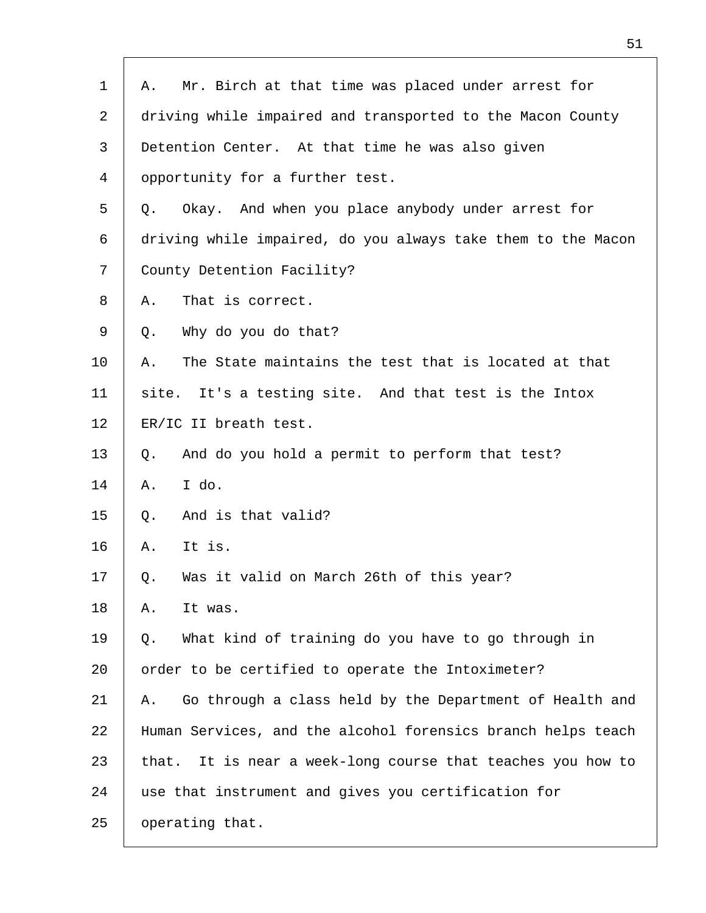| Mr. Birch at that time was placed under arrest for<br>Α.       |
|----------------------------------------------------------------|
| driving while impaired and transported to the Macon County     |
| Detention Center. At that time he was also given               |
| opportunity for a further test.                                |
| Okay. And when you place anybody under arrest for<br>Q.        |
| driving while impaired, do you always take them to the Macon   |
| County Detention Facility?                                     |
| That is correct.<br>Α.                                         |
| Why do you do that?<br>Q.                                      |
| The State maintains the test that is located at that<br>Α.     |
| It's a testing site. And that test is the Intox<br>site.       |
| ER/IC II breath test.                                          |
| And do you hold a permit to perform that test?<br>Q.           |
| I do.<br>Α.                                                    |
| And is that valid?<br>Q.                                       |
| It is.<br>Α.                                                   |
| Was it valid on March 26th of this year?<br>Q.                 |
| It was.<br>Α.                                                  |
| What kind of training do you have to go through in<br>Q.       |
| order to be certified to operate the Intoximeter?              |
| Go through a class held by the Department of Health and<br>Α.  |
| Human Services, and the alcohol forensics branch helps teach   |
| It is near a week-long course that teaches you how to<br>that. |
| use that instrument and gives you certification for            |
| operating that.                                                |
|                                                                |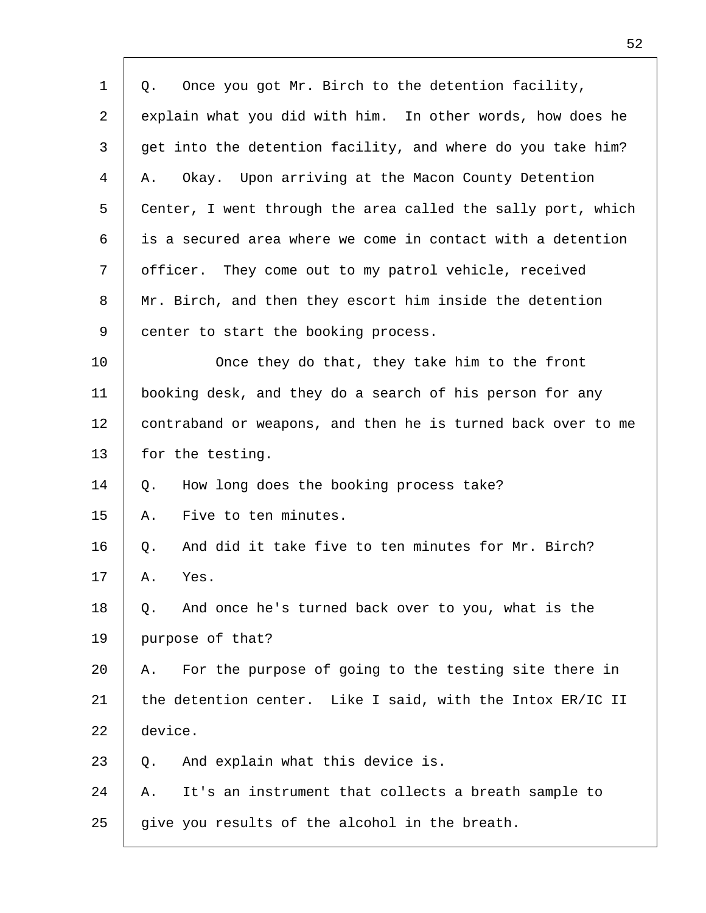| $\mathbf 1$ | Once you got Mr. Birch to the detention facility,<br>Q.      |
|-------------|--------------------------------------------------------------|
| 2           | explain what you did with him. In other words, how does he   |
| 3           | get into the detention facility, and where do you take him?  |
| 4           | Okay. Upon arriving at the Macon County Detention<br>Α.      |
| 5           | Center, I went through the area called the sally port, which |
| 6           | is a secured area where we come in contact with a detention  |
| 7           | officer. They come out to my patrol vehicle, received        |
| 8           | Mr. Birch, and then they escort him inside the detention     |
| 9           | center to start the booking process.                         |
| 10          | Once they do that, they take him to the front                |
| 11          | booking desk, and they do a search of his person for any     |
| 12          | contraband or weapons, and then he is turned back over to me |
| 13          | for the testing.                                             |
| 14          | How long does the booking process take?<br>Q.                |
| 15          | Five to ten minutes.<br>Α.                                   |
| 16          | And did it take five to ten minutes for Mr. Birch?<br>Q.     |
| 17          | Yes.<br>Α.                                                   |
| 18          | And once he's turned back over to you, what is the<br>Q.     |
| 19          | purpose of that?                                             |
| 20          | For the purpose of going to the testing site there in<br>А.  |
| 21          | the detention center. Like I said, with the Intox ER/IC II   |
| 22          | device.                                                      |
| 23          | And explain what this device is.<br>Q.                       |
| 24          | It's an instrument that collects a breath sample to<br>Α.    |
| 25          | give you results of the alcohol in the breath.               |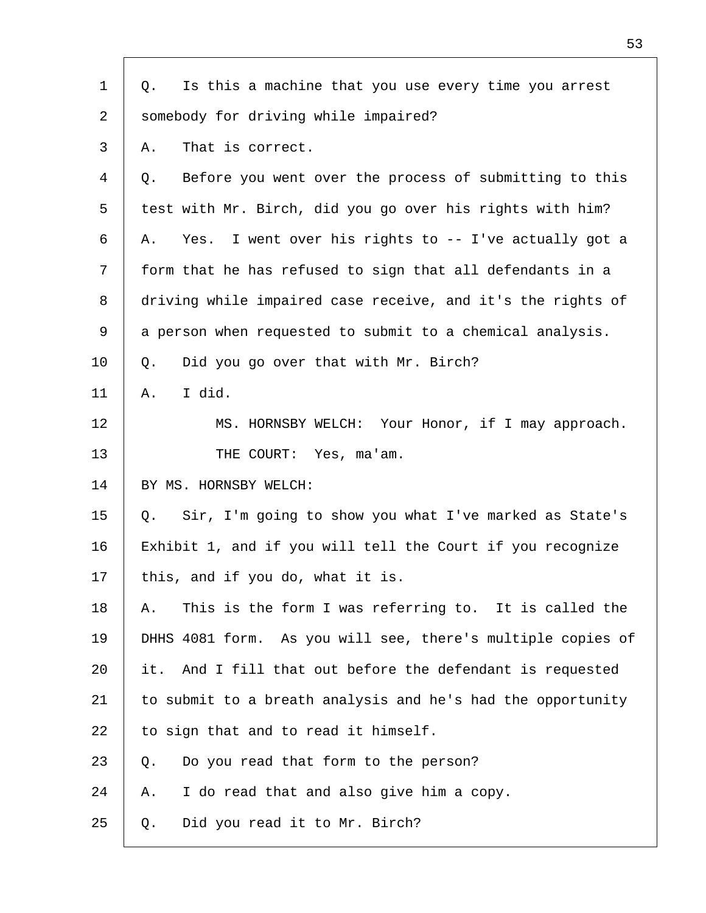| $\mathbf{1}$ | Is this a machine that you use every time you arrest<br>Q.   |
|--------------|--------------------------------------------------------------|
| 2            | somebody for driving while impaired?                         |
| 3            | That is correct.<br>Α.                                       |
| 4            | Before you went over the process of submitting to this<br>Q. |
| 5            | test with Mr. Birch, did you go over his rights with him?    |
| 6            | Yes. I went over his rights to -- I've actually got a<br>Α.  |
| 7            | form that he has refused to sign that all defendants in a    |
| 8            | driving while impaired case receive, and it's the rights of  |
| 9            | a person when requested to submit to a chemical analysis.    |
| 10           | Did you go over that with Mr. Birch?<br>Q.                   |
| 11           | I did.<br>Α.                                                 |
| 12           | MS. HORNSBY WELCH: Your Honor, if I may approach.            |
| 13           | THE COURT: Yes, ma'am.                                       |
| 14           | BY MS. HORNSBY WELCH:                                        |
| 15           | Sir, I'm going to show you what I've marked as State's<br>Q. |
| 16           | Exhibit 1, and if you will tell the Court if you recognize   |
| 17           | this, and if you do, what it is.                             |
| 18           | This is the form I was referring to. It is called the<br>Α.  |
| 19           | DHHS 4081 form. As you will see, there's multiple copies of  |
| 20           | it. And I fill that out before the defendant is requested    |
| 21           | to submit to a breath analysis and he's had the opportunity  |
| 22           | to sign that and to read it himself.                         |
| 23           | Do you read that form to the person?<br>Q.                   |
| 24           | I do read that and also give him a copy.<br>Α.               |
| 25           | Did you read it to Mr. Birch?<br>Q.                          |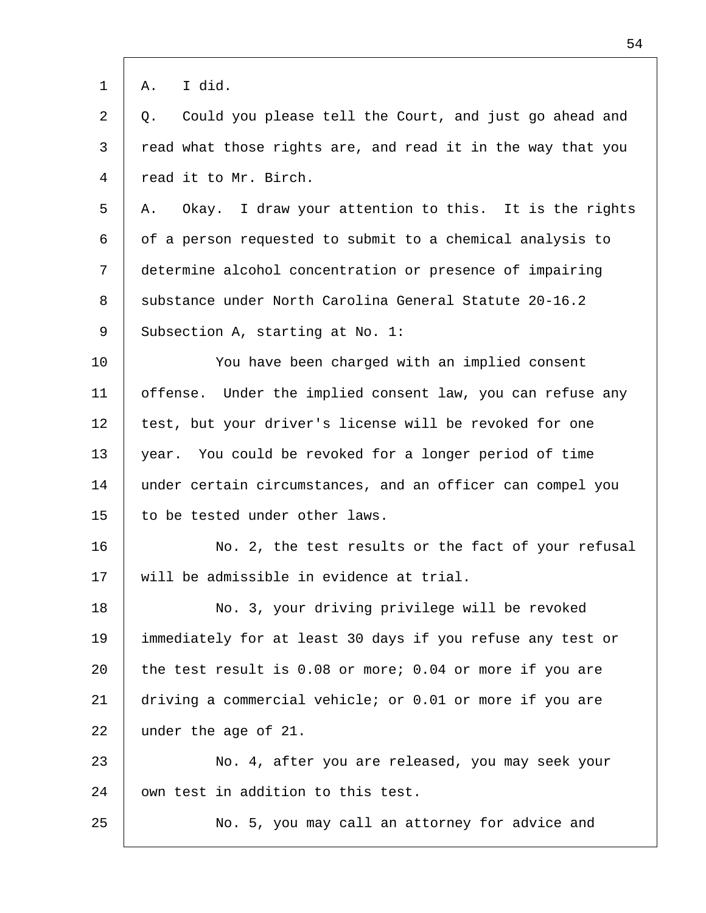| $\mathbf 1$ | I did.<br>Α.                                                 |
|-------------|--------------------------------------------------------------|
| 2           | Could you please tell the Court, and just go ahead and<br>Q. |
| 3           | read what those rights are, and read it in the way that you  |
| 4           | read it to Mr. Birch.                                        |
| 5           | Okay. I draw your attention to this. It is the rights<br>Α.  |
| 6           | of a person requested to submit to a chemical analysis to    |
| 7           | determine alcohol concentration or presence of impairing     |
| 8           | substance under North Carolina General Statute 20-16.2       |
| 9           | Subsection A, starting at No. 1:                             |
| 10          | You have been charged with an implied consent                |
| 11          | offense. Under the implied consent law, you can refuse any   |
| 12          | test, but your driver's license will be revoked for one      |
| 13          | year. You could be revoked for a longer period of time       |
| 14          | under certain circumstances, and an officer can compel you   |
| 15          | to be tested under other laws.                               |
| 16          | No. 2, the test results or the fact of your refusal          |
| 17          | will be admissible in evidence at trial.                     |
| 18          | No. 3, your driving privilege will be revoked                |
| 19          | immediately for at least 30 days if you refuse any test or   |
| 20          | the test result is 0.08 or more; 0.04 or more if you are     |
| 21          | driving a commercial vehicle; or 0.01 or more if you are     |
| 22          | under the age of 21.                                         |
| 23          | No. 4, after you are released, you may seek your             |
| 24          | own test in addition to this test.                           |
| 25          | No. 5, you may call an attorney for advice and               |
|             |                                                              |

 $\Gamma$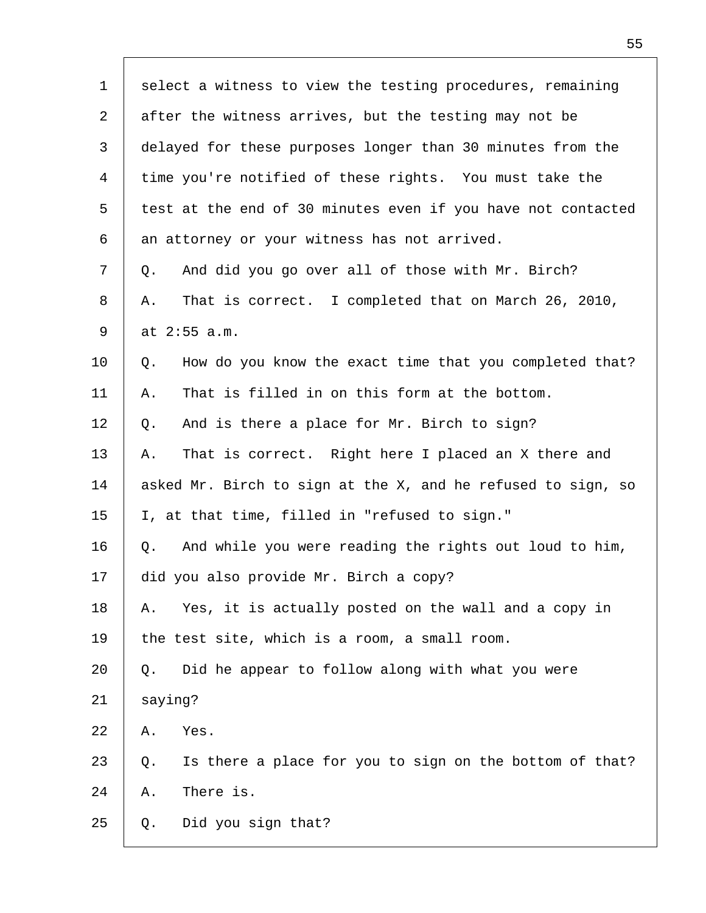| $\mathbf 1$    | select a witness to view the testing procedures, remaining    |
|----------------|---------------------------------------------------------------|
| 2              | after the witness arrives, but the testing may not be         |
| 3              | delayed for these purposes longer than 30 minutes from the    |
| $\overline{4}$ | time you're notified of these rights. You must take the       |
| 5              | test at the end of 30 minutes even if you have not contacted  |
| 6              | an attorney or your witness has not arrived.                  |
| 7              | And did you go over all of those with Mr. Birch?<br>Q.        |
| 8              | That is correct. I completed that on March 26, 2010,<br>Α.    |
| 9              | at 2:55 a.m.                                                  |
| 10             | How do you know the exact time that you completed that?<br>Q. |
| 11             | That is filled in on this form at the bottom.<br>Α.           |
| 12             | And is there a place for Mr. Birch to sign?<br>Q.             |
| 13             | That is correct. Right here I placed an X there and<br>Α.     |
| 14             | asked Mr. Birch to sign at the X, and he refused to sign, so  |
| 15             | I, at that time, filled in "refused to sign."                 |
| 16             | And while you were reading the rights out loud to him,<br>Q.  |
| 17             | did you also provide Mr. Birch a copy?                        |
| 18             | Yes, it is actually posted on the wall and a copy in<br>Α.    |
| 19             | the test site, which is a room, a small room.                 |
| 20             | Did he appear to follow along with what you were<br>Q.        |
| 21             | saying?                                                       |
| 22             | Yes.<br>Α.                                                    |
| 23             | Is there a place for you to sign on the bottom of that?<br>Q. |
| 24             | There is.<br>Α.                                               |
| 25             | Did you sign that?<br>Q.                                      |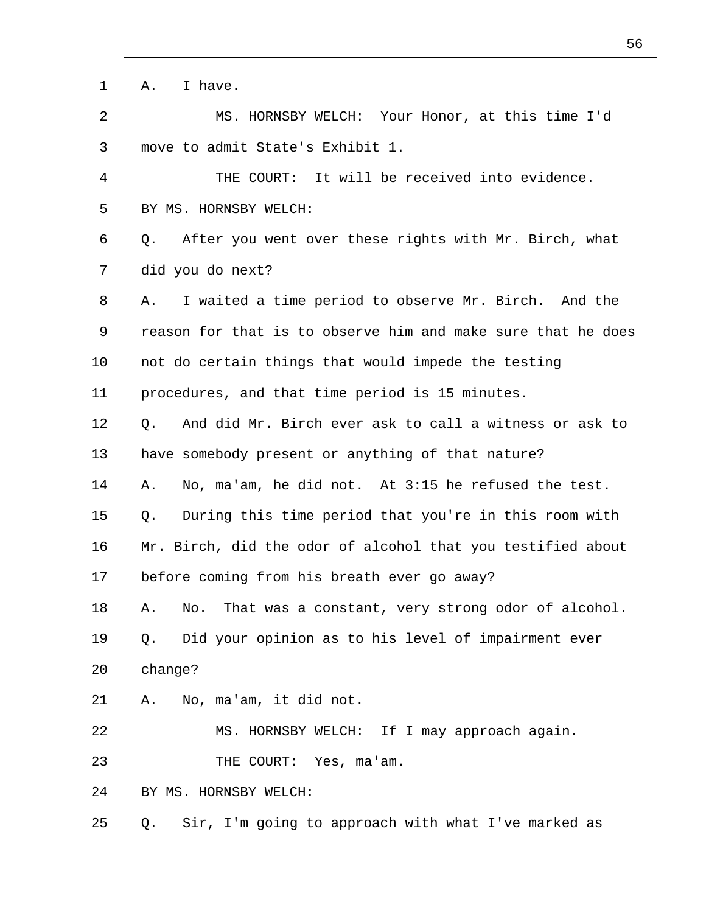| $\mathbf 1$    | I have.<br>Α.                                                  |
|----------------|----------------------------------------------------------------|
| $\overline{2}$ | MS. HORNSBY WELCH: Your Honor, at this time I'd                |
| 3              | move to admit State's Exhibit 1.                               |
| 4              | THE COURT: It will be received into evidence.                  |
| 5              | BY MS. HORNSBY WELCH:                                          |
| 6              | After you went over these rights with Mr. Birch, what<br>Q.    |
| 7              | did you do next?                                               |
| 8              | I waited a time period to observe Mr. Birch. And the<br>Α.     |
| 9              | reason for that is to observe him and make sure that he does   |
| $10 \,$        | not do certain things that would impede the testing            |
| 11             | procedures, and that time period is 15 minutes.                |
| 12             | And did Mr. Birch ever ask to call a witness or ask to<br>Q.   |
| 13             | have somebody present or anything of that nature?              |
| 14             | No, ma'am, he did not. At 3:15 he refused the test.<br>Α.      |
| 15             | During this time period that you're in this room with<br>Q.    |
| 16             | Mr. Birch, did the odor of alcohol that you testified about    |
| 17             | before coming from his breath ever go away?                    |
| 18             | That was a constant, very strong odor of alcohol.<br>No.<br>Α. |
| 19             | Did your opinion as to his level of impairment ever<br>Q.      |
| 20             | change?                                                        |
| 21             | No, ma'am, it did not.<br>Α.                                   |
| 22             | MS. HORNSBY WELCH: If I may approach again.                    |
| 23             | THE COURT: Yes, ma'am.                                         |
| 24             | BY MS. HORNSBY WELCH:                                          |
| 25             | Sir, I'm going to approach with what I've marked as<br>Q.      |
|                |                                                                |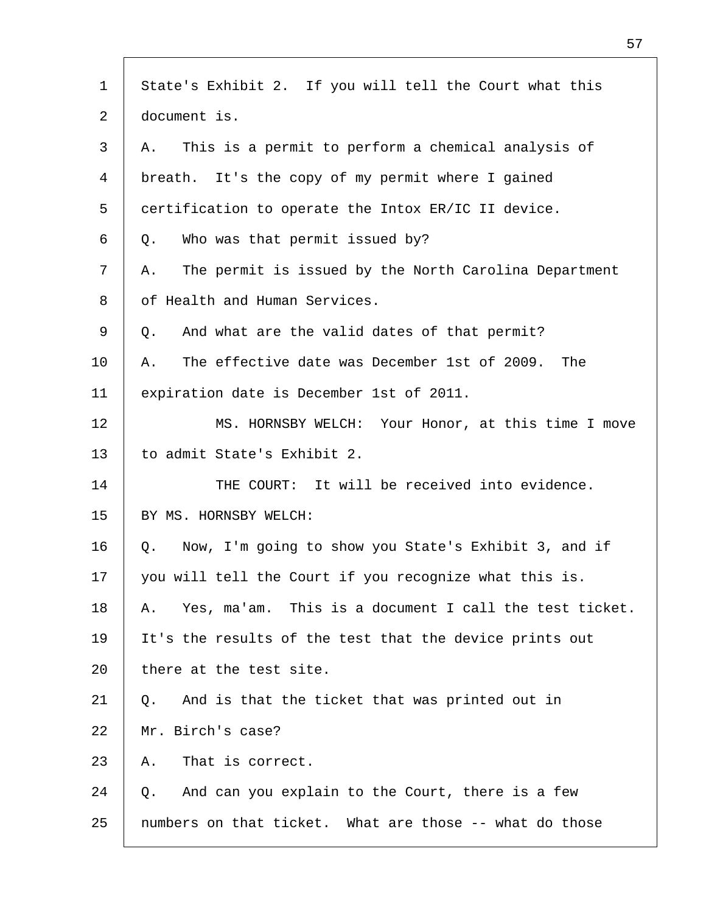| $\mathbf 1$    | State's Exhibit 2. If you will tell the Court what this      |
|----------------|--------------------------------------------------------------|
| 2              | document is.                                                 |
| 3              | This is a permit to perform a chemical analysis of<br>Α.     |
| $\overline{4}$ | breath. It's the copy of my permit where I gained            |
| 5              | certification to operate the Intox ER/IC II device.          |
| 6              | Who was that permit issued by?<br>Q.                         |
| 7              | The permit is issued by the North Carolina Department<br>Α.  |
| 8              | of Health and Human Services.                                |
| 9              | And what are the valid dates of that permit?<br>Q.           |
| 10             | The effective date was December 1st of 2009.<br>The<br>Α.    |
| 11             | expiration date is December 1st of 2011.                     |
| 12             | MS. HORNSBY WELCH: Your Honor, at this time I move           |
| 13             | to admit State's Exhibit 2.                                  |
| 14             | THE COURT: It will be received into evidence.                |
| 15             | BY MS. HORNSBY WELCH:                                        |
| 16             | Now, I'm going to show you State's Exhibit 3, and if<br>Q.   |
| 17             | you will tell the Court if you recognize what this is.       |
| 18             | Yes, ma'am. This is a document I call the test ticket.<br>Α. |
| 19             | It's the results of the test that the device prints out      |
| 20             | there at the test site.                                      |
| 21             | And is that the ticket that was printed out in<br>Q.         |
| 22             | Mr. Birch's case?                                            |
| 23             | That is correct.<br>Α.                                       |
| 24             | And can you explain to the Court, there is a few<br>Q.       |
| 25             | numbers on that ticket. What are those -- what do those      |
|                |                                                              |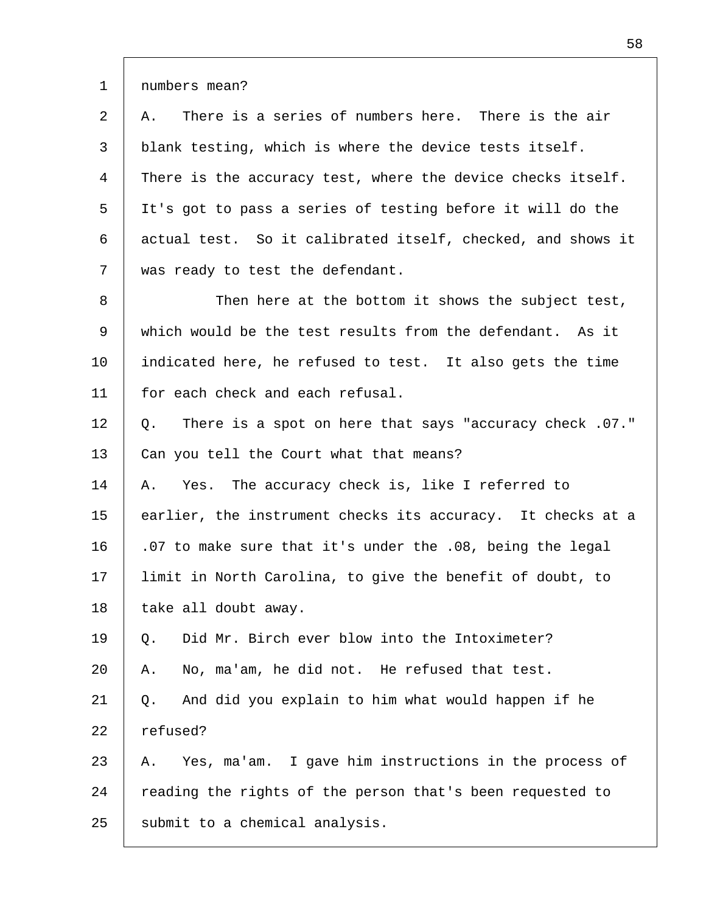1 numbers mean?

2 3 4 5 6 7 A. There is a series of numbers here. There is the air blank testing, which is where the device tests itself. There is the accuracy test, where the device checks itself. It's got to pass a series of testing before it will do the actual test. So it calibrated itself, checked, and shows it was ready to test the defendant.

8 9 10 11 Then here at the bottom it shows the subject test, which would be the test results from the defendant. As it indicated here, he refused to test. It also gets the time for each check and each refusal.

12 13 Q. There is a spot on here that says "accuracy check .07." Can you tell the Court what that means?

14 15 16 17 18 A. Yes. The accuracy check is, like I referred to earlier, the instrument checks its accuracy. It checks at a .07 to make sure that it's under the .08, being the legal limit in North Carolina, to give the benefit of doubt, to take all doubt away.

19 20 Q. Did Mr. Birch ever blow into the Intoximeter? A. No, ma'am, he did not. He refused that test.

21 22 Q. And did you explain to him what would happen if he refused?

23 24 25 A. Yes, ma'am. I gave him instructions in the process of reading the rights of the person that's been requested to submit to a chemical analysis.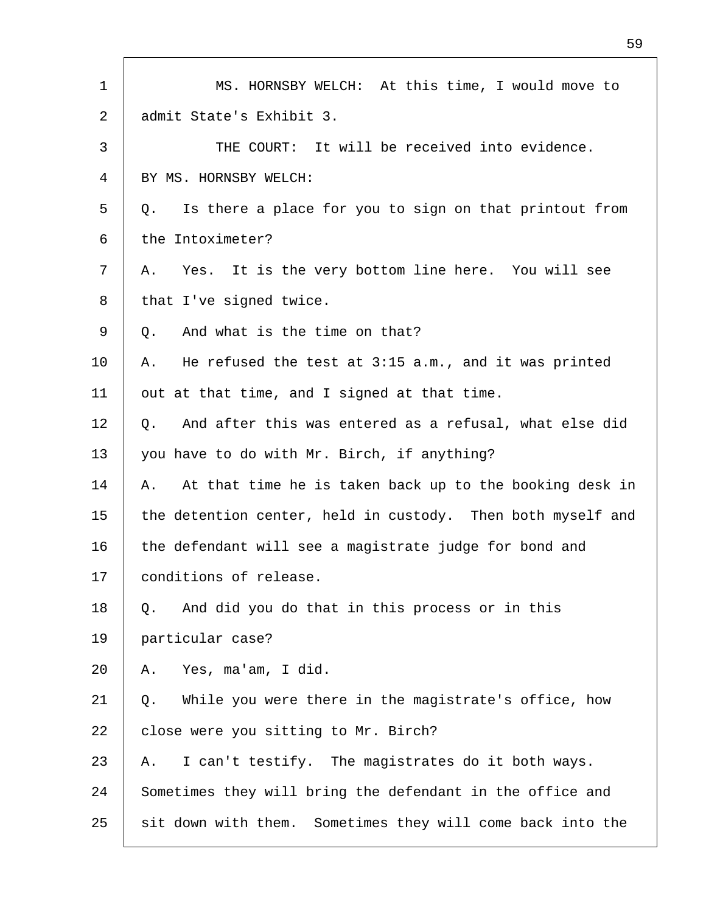| $\mathbf{1}$ | MS. HORNSBY WELCH: At this time, I would move to              |
|--------------|---------------------------------------------------------------|
| 2            | admit State's Exhibit 3.                                      |
| 3            | THE COURT: It will be received into evidence.                 |
| 4            | BY MS. HORNSBY WELCH:                                         |
| 5            | Is there a place for you to sign on that printout from<br>Q.  |
| 6            | the Intoximeter?                                              |
| 7            | Yes. It is the very bottom line here. You will see<br>Α.      |
| 8            | that I've signed twice.                                       |
| 9            | And what is the time on that?<br>Q.                           |
| $10 \,$      | He refused the test at 3:15 a.m., and it was printed<br>Α.    |
| 11           | out at that time, and I signed at that time.                  |
| 12           | And after this was entered as a refusal, what else did<br>Q.  |
| 13           | you have to do with Mr. Birch, if anything?                   |
| 14           | At that time he is taken back up to the booking desk in<br>Α. |
| 15           | the detention center, held in custody. Then both myself and   |
| 16           | the defendant will see a magistrate judge for bond and        |
| 17           | conditions of release.                                        |
| 18           | And did you do that in this process or in this<br>Q.          |
| 19           | particular case?                                              |
| 20           | Yes, ma'am, I did.<br>Α.                                      |
| 21           | While you were there in the magistrate's office, how<br>Q.    |
| 22           | close were you sitting to Mr. Birch?                          |
| 23           | I can't testify. The magistrates do it both ways.<br>Α.       |
| 24           | Sometimes they will bring the defendant in the office and     |
| 25           | sit down with them. Sometimes they will come back into the    |

Г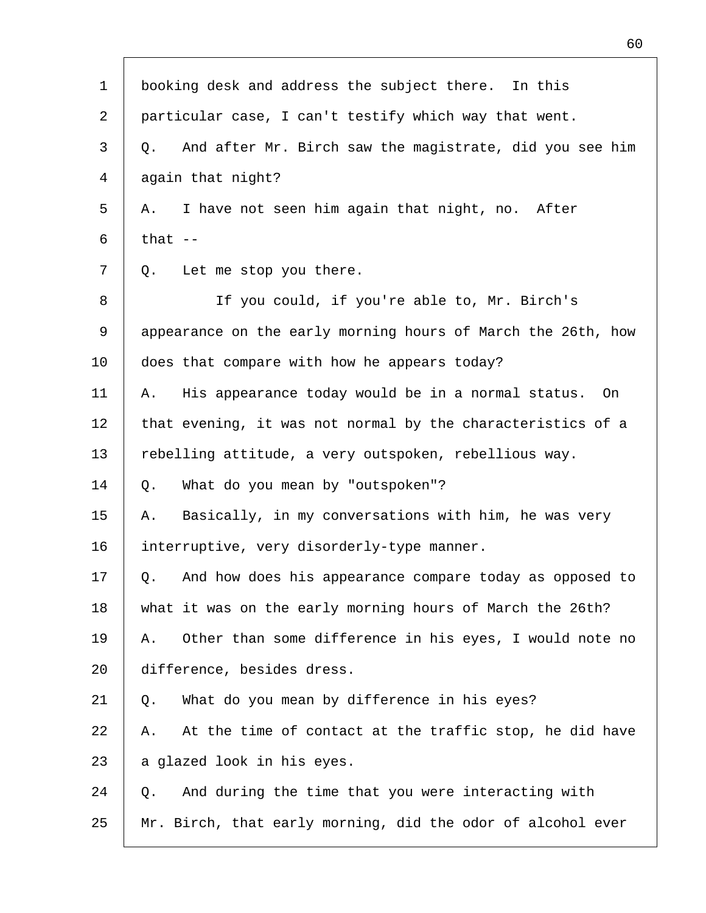| $\mathbf{1}$ | booking desk and address the subject there. In this           |
|--------------|---------------------------------------------------------------|
| 2            | particular case, I can't testify which way that went.         |
| 3            | And after Mr. Birch saw the magistrate, did you see him<br>Q. |
| 4            | again that night?                                             |
| 5            | I have not seen him again that night, no. After<br>Α.         |
| 6            | that $--$                                                     |
| 7            | Let me stop you there.<br>Q.                                  |
| 8            | If you could, if you're able to, Mr. Birch's                  |
| 9            | appearance on the early morning hours of March the 26th, how  |
| 10           | does that compare with how he appears today?                  |
| 11           | His appearance today would be in a normal status. On<br>Α.    |
| 12           | that evening, it was not normal by the characteristics of a   |
| 13           | rebelling attitude, a very outspoken, rebellious way.         |
| 14           | What do you mean by "outspoken"?<br>Q.                        |
| 15           | Basically, in my conversations with him, he was very<br>Α.    |
| 16           | interruptive, very disorderly-type manner.                    |
| 17           | And how does his appearance compare today as opposed to<br>Q. |
| 18           | what it was on the early morning hours of March the 26th?     |
| 19           | Other than some difference in his eyes, I would note no<br>Α. |
| 20           | difference, besides dress.                                    |
| 21           | What do you mean by difference in his eyes?<br>Q.             |
| 22           | At the time of contact at the traffic stop, he did have<br>Α. |
| 23           | a glazed look in his eyes.                                    |
| 24           | And during the time that you were interacting with<br>Q.      |
| 25           | Mr. Birch, that early morning, did the odor of alcohol ever   |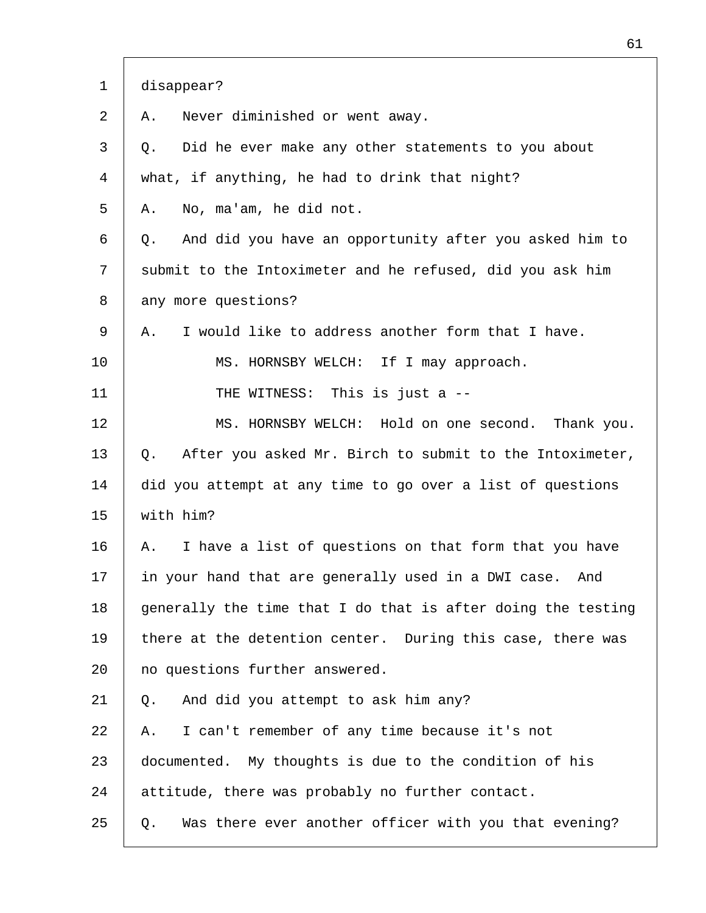| $\mathbf{1}$ | disappear?                                                    |
|--------------|---------------------------------------------------------------|
| 2            | Never diminished or went away.<br>Α.                          |
| 3            | Did he ever make any other statements to you about<br>Q.      |
| 4            | what, if anything, he had to drink that night?                |
| 5            | No, ma'am, he did not.<br>Α.                                  |
| 6            | And did you have an opportunity after you asked him to<br>Q.  |
| 7            | submit to the Intoximeter and he refused, did you ask him     |
| 8            | any more questions?                                           |
| 9            | I would like to address another form that I have.<br>Α.       |
| 10           | MS. HORNSBY WELCH: If I may approach.                         |
| 11           | THE WITNESS: This is just a --                                |
| 12           | MS. HORNSBY WELCH: Hold on one second. Thank you.             |
| 13           | After you asked Mr. Birch to submit to the Intoximeter,<br>Q. |
| 14           | did you attempt at any time to go over a list of questions    |
| 15           | with him?                                                     |
| 16           | I have a list of questions on that form that you have<br>Α.   |
| 17           | in your hand that are generally used in a DWI case.<br>And    |
| 18           | generally the time that I do that is after doing the testing  |
| 19           | there at the detention center. During this case, there was    |
| 20           | no questions further answered.                                |
| 21           | And did you attempt to ask him any?<br>Q.                     |
| 22           | I can't remember of any time because it's not<br>Α.           |
| 23           | documented. My thoughts is due to the condition of his        |
| 24           | attitude, there was probably no further contact.              |
| 25           | Was there ever another officer with you that evening?<br>Q.   |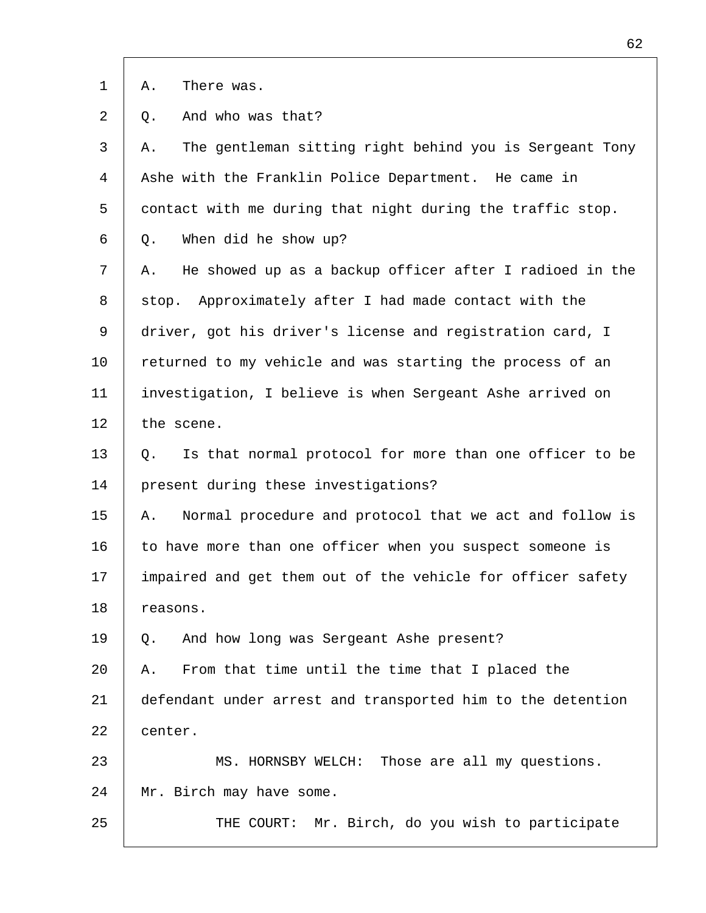|  | There was. |  |
|--|------------|--|

2 Q. And who was that?

| 3  | The gentleman sitting right behind you is Sergeant Tony<br>Α. |
|----|---------------------------------------------------------------|
| 4  | Ashe with the Franklin Police Department. He came in          |
| 5  | contact with me during that night during the traffic stop.    |
| 6  | When did he show up?<br>Q.                                    |
| 7  | He showed up as a backup officer after I radioed in the<br>Α. |
| 8  | Approximately after I had made contact with the<br>stop.      |
| 9  | driver, got his driver's license and registration card, I     |
| 10 | returned to my vehicle and was starting the process of an     |
| 11 | investigation, I believe is when Sergeant Ashe arrived on     |
| 12 | the scene.                                                    |
| 13 | Is that normal protocol for more than one officer to be<br>Q. |
| 14 | present during these investigations?                          |
| 15 | Normal procedure and protocol that we act and follow is<br>Α. |
| 16 | to have more than one officer when you suspect someone is     |
| 17 | impaired and get them out of the vehicle for officer safety   |
| 18 | reasons.                                                      |
| 19 | And how long was Sergeant Ashe present?<br>Q.                 |
| 20 | From that time until the time that I placed the<br>Α.         |
| 21 | defendant under arrest and transported him to the detention   |
| 22 | center.                                                       |
| 23 | MS. HORNSBY WELCH: Those are all my questions.                |
| 24 | Mr. Birch may have some.                                      |
| 25 | Mr. Birch, do you wish to participate<br>THE COURT:           |
|    |                                                               |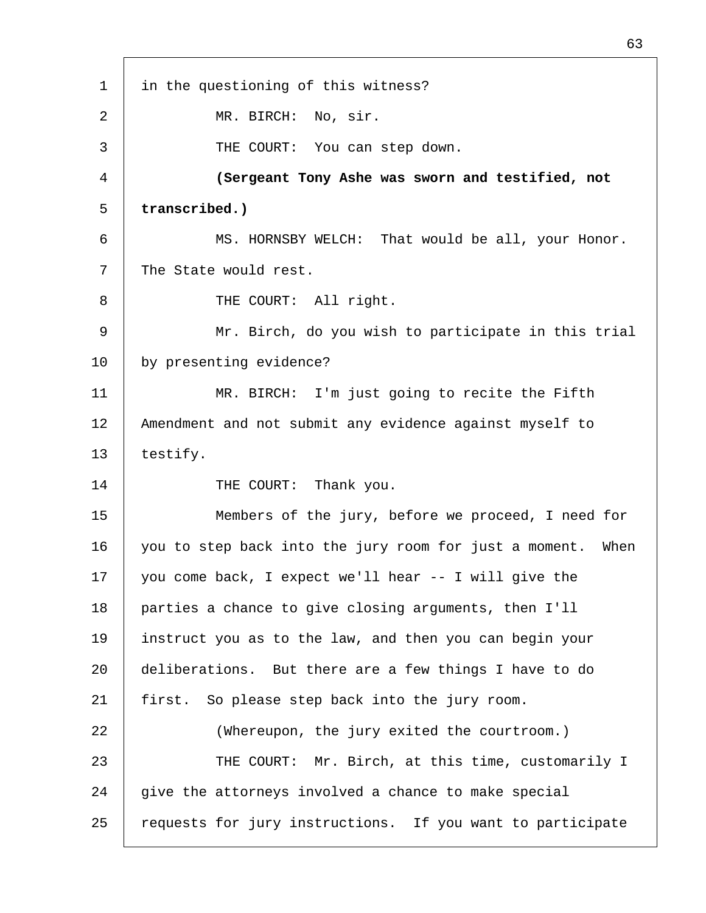1 2 3 4 5 6 7 8 9 10 11 12 13 14 15 16 17 18 19 20 21 22 23 24 25 in the questioning of this witness? MR. BIRCH: No, sir. THE COURT: You can step down. **(Sergeant Tony Ashe was sworn and testified, not transcribed.)** MS. HORNSBY WELCH: That would be all, your Honor. The State would rest. THE COURT: All right. Mr. Birch, do you wish to participate in this trial by presenting evidence? MR. BIRCH: I'm just going to recite the Fifth Amendment and not submit any evidence against myself to testify. THE COURT: Thank you. Members of the jury, before we proceed, I need for you to step back into the jury room for just a moment. When you come back, I expect we'll hear -- I will give the parties a chance to give closing arguments, then I'll instruct you as to the law, and then you can begin your deliberations. But there are a few things I have to do first. So please step back into the jury room. (Whereupon, the jury exited the courtroom.) THE COURT: Mr. Birch, at this time, customarily I give the attorneys involved a chance to make special requests for jury instructions. If you want to participate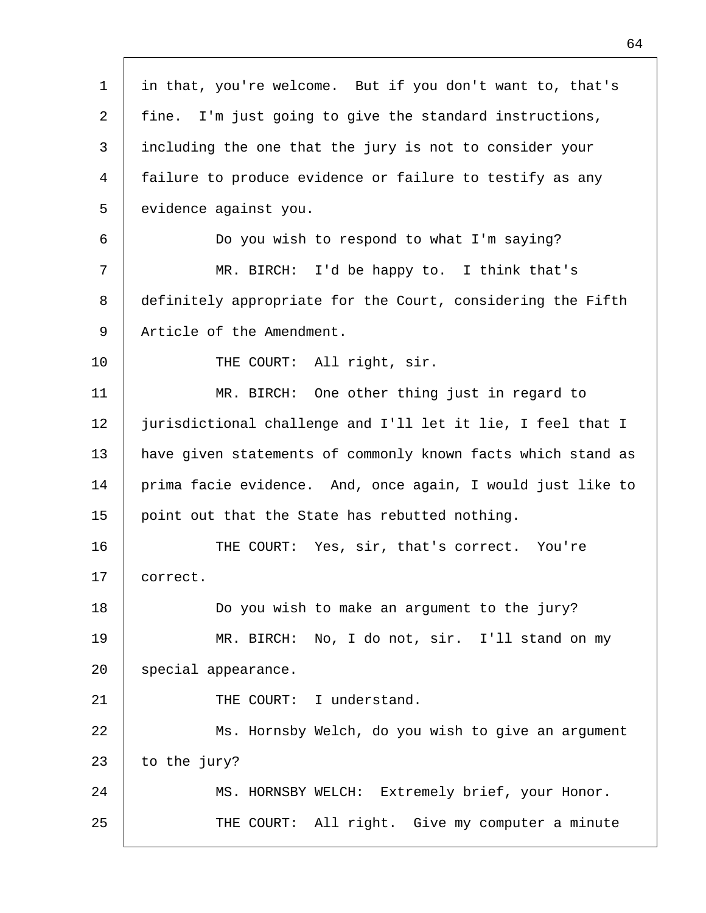| $\mathbf 1$    | in that, you're welcome. But if you don't want to, that's    |
|----------------|--------------------------------------------------------------|
| 2              | fine. I'm just going to give the standard instructions,      |
| 3              | including the one that the jury is not to consider your      |
| $\overline{4}$ | failure to produce evidence or failure to testify as any     |
| 5              | evidence against you.                                        |
| 6              | Do you wish to respond to what I'm saying?                   |
| 7              | MR. BIRCH: I'd be happy to. I think that's                   |
| 8              | definitely appropriate for the Court, considering the Fifth  |
| 9              | Article of the Amendment.                                    |
| 10             | THE COURT: All right, sir.                                   |
| 11             | MR. BIRCH: One other thing just in regard to                 |
| 12             | jurisdictional challenge and I'll let it lie, I feel that I  |
| 13             | have given statements of commonly known facts which stand as |
| 14             | prima facie evidence. And, once again, I would just like to  |
| 15             | point out that the State has rebutted nothing.               |
| 16             | THE COURT: Yes, sir, that's correct. You're                  |
| 17             | correct.                                                     |
| 18             | Do you wish to make an argument to the jury?                 |
| 19             | MR. BIRCH: No, I do not, sir. I'll stand on my               |
| 20             | special appearance.                                          |
| 21             | THE COURT: I understand.                                     |
| 22             | Ms. Hornsby Welch, do you wish to give an argument           |
| 23             | to the jury?                                                 |
| 24             | MS. HORNSBY WELCH: Extremely brief, your Honor.              |
| 25             | THE COURT: All right. Give my computer a minute              |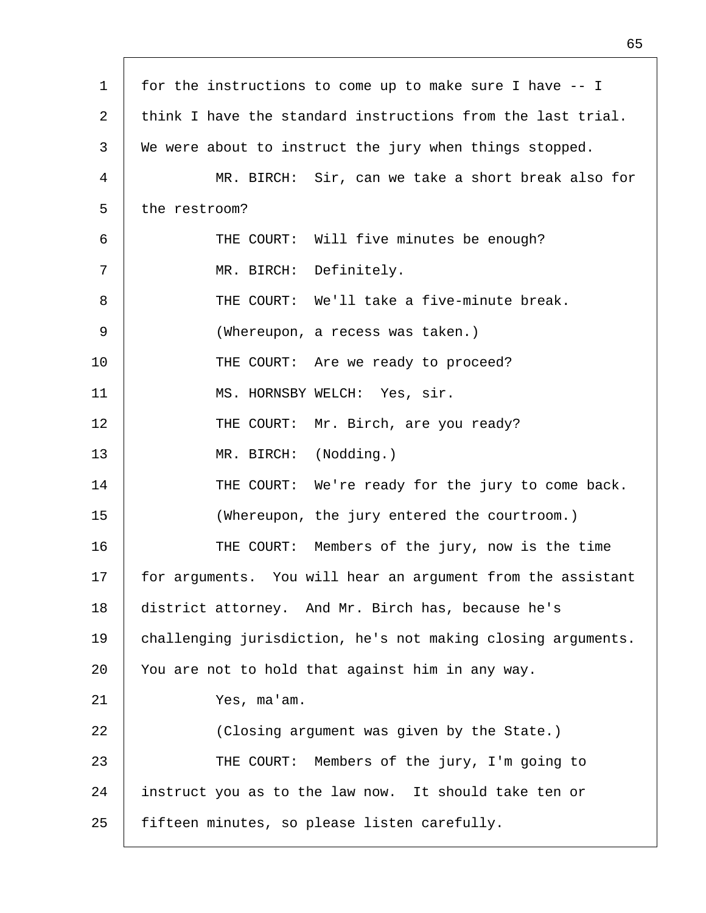| for the instructions to come up to make sure I have -- I     |
|--------------------------------------------------------------|
| think I have the standard instructions from the last trial.  |
| We were about to instruct the jury when things stopped.      |
| MR. BIRCH: Sir, can we take a short break also for           |
| the restroom?                                                |
| THE COURT: Will five minutes be enough?                      |
| MR. BIRCH: Definitely.                                       |
| THE COURT: We'll take a five-minute break.                   |
| (Whereupon, a recess was taken.)                             |
| THE COURT: Are we ready to proceed?                          |
| MS. HORNSBY WELCH: Yes, sir.                                 |
| THE COURT: Mr. Birch, are you ready?                         |
| MR. BIRCH: (Nodding.)                                        |
| THE COURT: We're ready for the jury to come back.            |
| (Whereupon, the jury entered the courtroom.)                 |
| THE COURT: Members of the jury, now is the time              |
| for arguments. You will hear an argument from the assistant  |
| district attorney. And Mr. Birch has, because he's           |
| challenging jurisdiction, he's not making closing arguments. |
| You are not to hold that against him in any way.             |
| Yes, ma'am.                                                  |
| (Closing argument was given by the State.)                   |
| THE COURT: Members of the jury, I'm going to                 |
| instruct you as to the law now. It should take ten or        |
| fifteen minutes, so please listen carefully.                 |
|                                                              |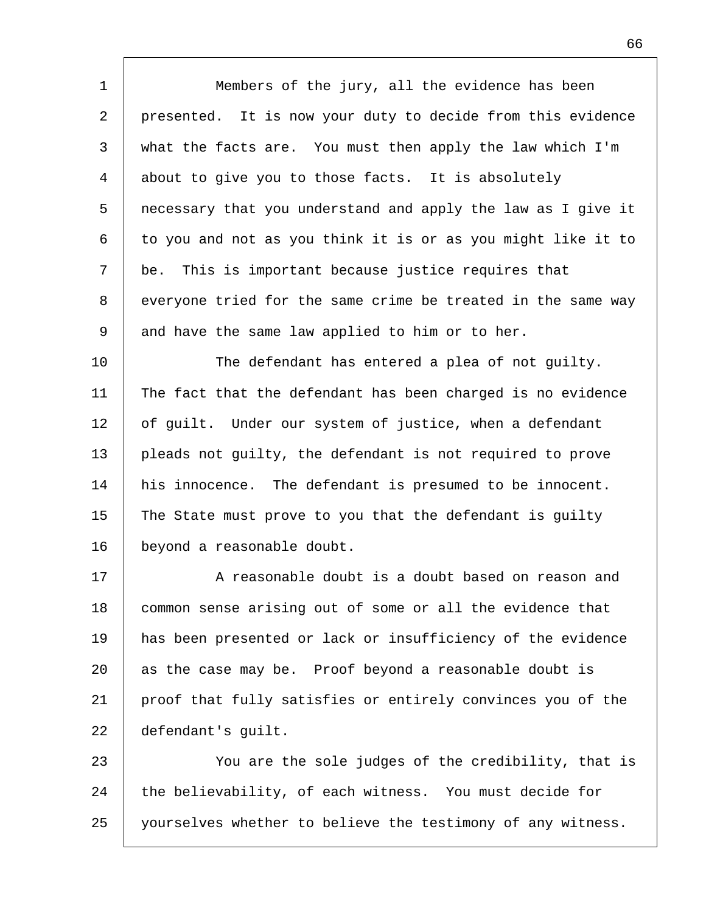1 2 3 4 5 6 7 8 9 10 11 12 13 14 15 Members of the jury, all the evidence has been presented. It is now your duty to decide from this evidence what the facts are. You must then apply the law which I'm about to give you to those facts. It is absolutely necessary that you understand and apply the law as I give it to you and not as you think it is or as you might like it to be. This is important because justice requires that everyone tried for the same crime be treated in the same way and have the same law applied to him or to her. The defendant has entered a plea of not guilty. The fact that the defendant has been charged is no evidence of guilt. Under our system of justice, when a defendant pleads not guilty, the defendant is not required to prove his innocence. The defendant is presumed to be innocent. The State must prove to you that the defendant is guilty

17 18 19 20 21 22 A reasonable doubt is a doubt based on reason and common sense arising out of some or all the evidence that has been presented or lack or insufficiency of the evidence as the case may be. Proof beyond a reasonable doubt is proof that fully satisfies or entirely convinces you of the defendant's guilt.

beyond a reasonable doubt.

16

23 24 25 You are the sole judges of the credibility, that is the believability, of each witness. You must decide for yourselves whether to believe the testimony of any witness.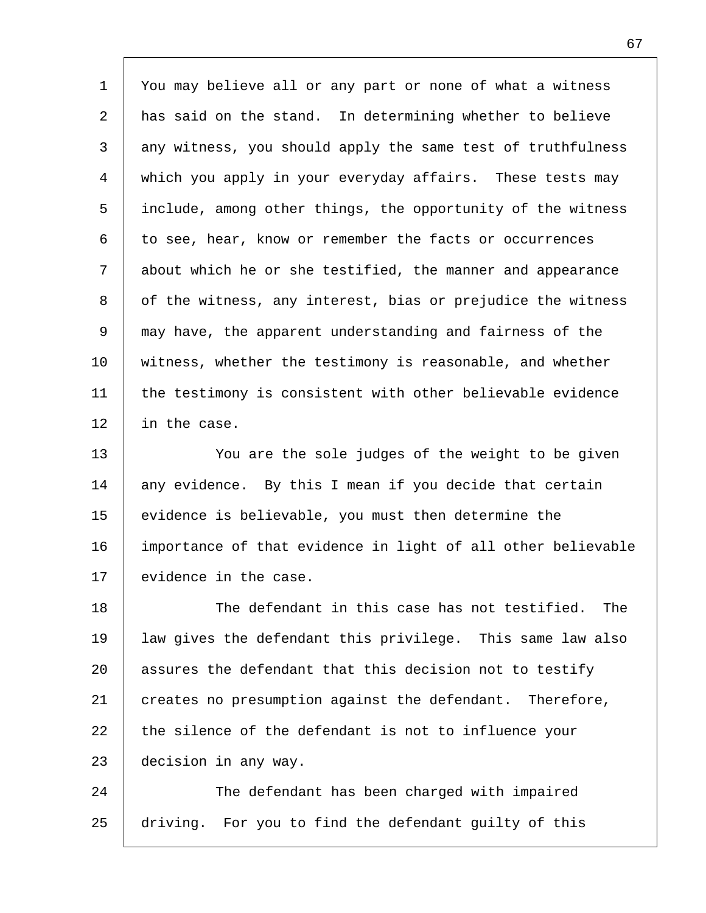| $\mathbf 1$    | You may believe all or any part or none of what a witness    |
|----------------|--------------------------------------------------------------|
| $\overline{2}$ | has said on the stand. In determining whether to believe     |
| 3              | any witness, you should apply the same test of truthfulness  |
| $\overline{4}$ | which you apply in your everyday affairs. These tests may    |
| 5              | include, among other things, the opportunity of the witness  |
| 6              | to see, hear, know or remember the facts or occurrences      |
| 7              | about which he or she testified, the manner and appearance   |
| 8              | of the witness, any interest, bias or prejudice the witness  |
| 9              | may have, the apparent understanding and fairness of the     |
| 10             | witness, whether the testimony is reasonable, and whether    |
| 11             | the testimony is consistent with other believable evidence   |
| 12             | in the case.                                                 |
| 13             | You are the sole judges of the weight to be given            |
| 14             | any evidence. By this I mean if you decide that certain      |
| 15             | evidence is believable, you must then determine the          |
| 16             | importance of that evidence in light of all other believable |
| 17             | evidence in the case.                                        |
| 18             | The defendant in this case has not testified.<br>The         |

19 20 21 22 23 law gives the defendant this privilege. This same law also assures the defendant that this decision not to testify creates no presumption against the defendant. Therefore, the silence of the defendant is not to influence your decision in any way.

24 25 The defendant has been charged with impaired driving. For you to find the defendant guilty of this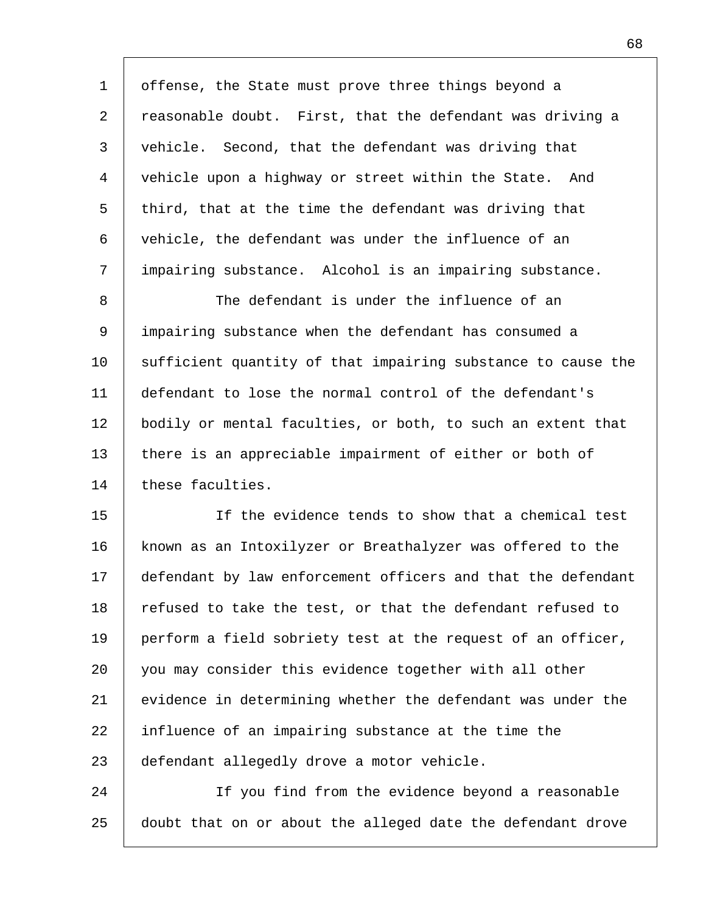| 1  | offense, the State must prove three things beyond a          |
|----|--------------------------------------------------------------|
| 2  | reasonable doubt. First, that the defendant was driving a    |
| 3  | vehicle. Second, that the defendant was driving that         |
| 4  | vehicle upon a highway or street within the State. And       |
| 5  | third, that at the time the defendant was driving that       |
| 6  | vehicle, the defendant was under the influence of an         |
| 7  | impairing substance. Alcohol is an impairing substance.      |
| 8  | The defendant is under the influence of an                   |
| 9  | impairing substance when the defendant has consumed a        |
| 10 | sufficient quantity of that impairing substance to cause the |
| 11 | defendant to lose the normal control of the defendant's      |
| 12 | bodily or mental faculties, or both, to such an extent that  |
| 13 | there is an appreciable impairment of either or both of      |
| 14 | these faculties.                                             |
| 15 | If the evidence tends to show that a chemical test           |
| 16 | known as an Intoxilyzer or Breathalyzer was offered to the   |
| 17 | defendant by law enforcement officers and that the defendant |
| 18 | refused to take the test, or that the defendant refused to   |
| 19 | perform a field sobriety test at the request of an officer,  |
| 20 | you may consider this evidence together with all other       |
| 21 | evidence in determining whether the defendant was under the  |
| 22 | influence of an impairing substance at the time the          |
| 23 | defendant allegedly drove a motor vehicle.                   |
| 24 | If you find from the evidence beyond a reasonable            |
| 25 | doubt that on or about the alleged date the defendant drove  |

 $\mathsf{I}$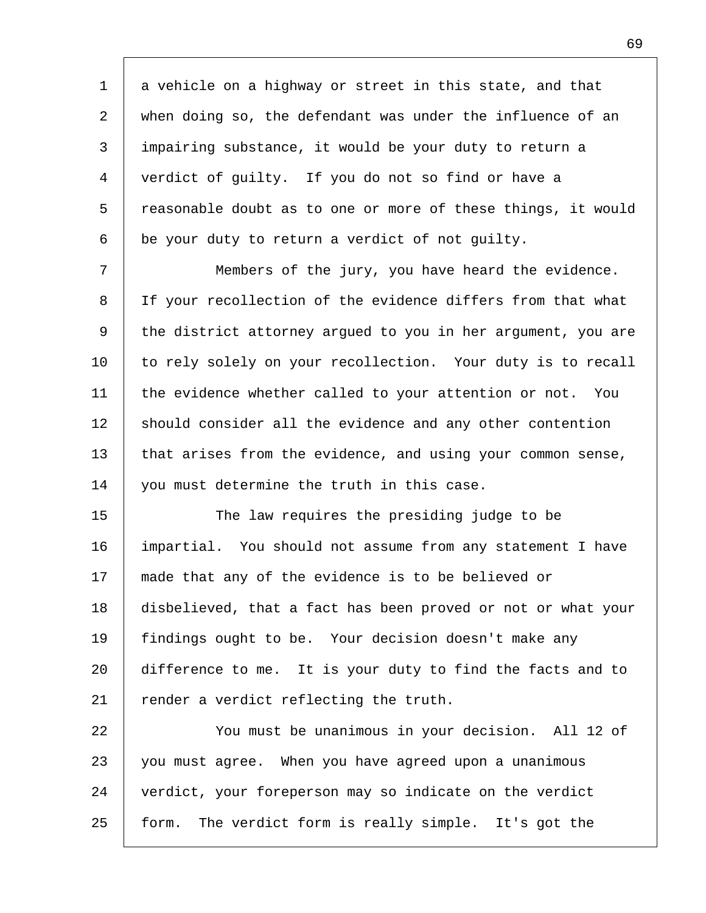1 2 3 4 5 6 a vehicle on a highway or street in this state, and that when doing so, the defendant was under the influence of an impairing substance, it would be your duty to return a verdict of guilty. If you do not so find or have a reasonable doubt as to one or more of these things, it would be your duty to return a verdict of not guilty.

7 8 9 10 11 12 13 14 Members of the jury, you have heard the evidence. If your recollection of the evidence differs from that what the district attorney argued to you in her argument, you are to rely solely on your recollection. Your duty is to recall the evidence whether called to your attention or not. You should consider all the evidence and any other contention that arises from the evidence, and using your common sense, you must determine the truth in this case.

15 16 17 18 19  $20^{\circ}$ 21 The law requires the presiding judge to be impartial. You should not assume from any statement I have made that any of the evidence is to be believed or disbelieved, that a fact has been proved or not or what your findings ought to be. Your decision doesn't make any difference to me. It is your duty to find the facts and to render a verdict reflecting the truth.

22 23 24 25 You must be unanimous in your decision. All 12 of you must agree. When you have agreed upon a unanimous verdict, your foreperson may so indicate on the verdict form. The verdict form is really simple. It's got the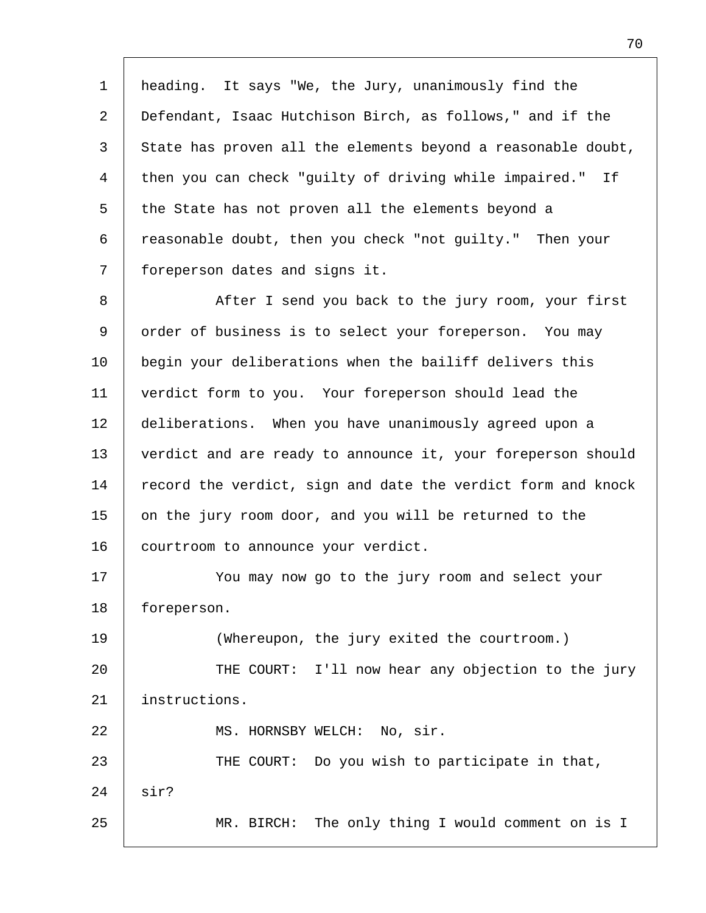1 2 3 4 5 6 7 heading. It says "We, the Jury, unanimously find the Defendant, Isaac Hutchison Birch, as follows," and if the State has proven all the elements beyond a reasonable doubt, then you can check "guilty of driving while impaired." If the State has not proven all the elements beyond a reasonable doubt, then you check "not guilty." Then your foreperson dates and signs it.

8 9 10 11 12 13 14 15 16 After I send you back to the jury room, your first order of business is to select your foreperson. You may begin your deliberations when the bailiff delivers this verdict form to you. Your foreperson should lead the deliberations. When you have unanimously agreed upon a verdict and are ready to announce it, your foreperson should record the verdict, sign and date the verdict form and knock on the jury room door, and you will be returned to the courtroom to announce your verdict.

17 18 You may now go to the jury room and select your foreperson.

19 20 21 (Whereupon, the jury exited the courtroom.) THE COURT: I'll now hear any objection to the jury instructions.

MS. HORNSBY WELCH: No, sir.

22

23 24 25 THE COURT: Do you wish to participate in that, sir? MR. BIRCH: The only thing I would comment on is I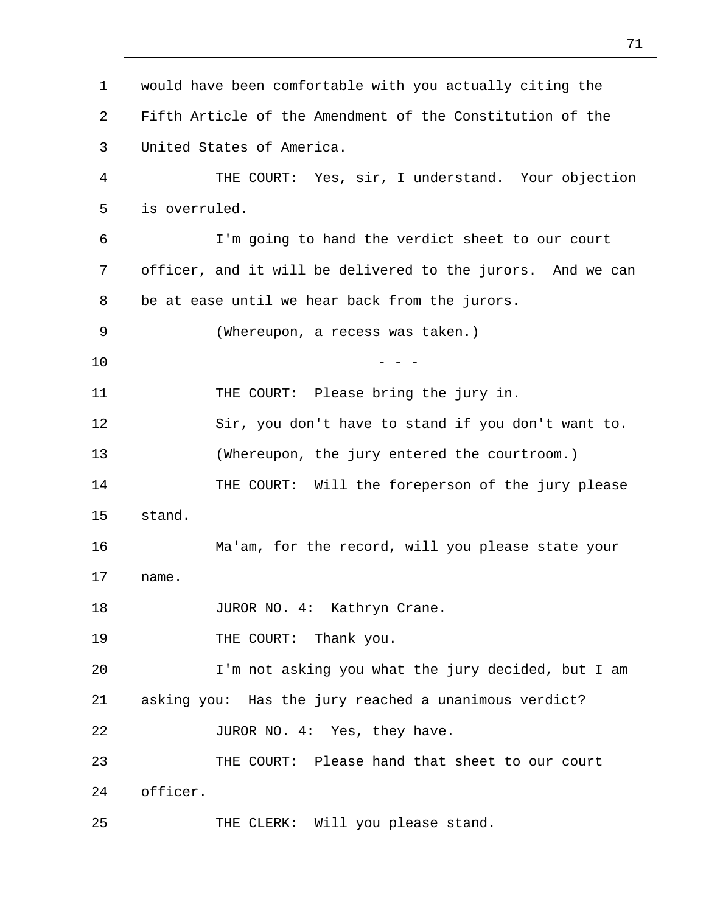| $\mathbf 1$ | would have been comfortable with you actually citing the    |
|-------------|-------------------------------------------------------------|
| 2           | Fifth Article of the Amendment of the Constitution of the   |
| 3           | United States of America.                                   |
| 4           | THE COURT: Yes, sir, I understand. Your objection           |
| 5           | is overruled.                                               |
| 6           | I'm going to hand the verdict sheet to our court            |
| 7           | officer, and it will be delivered to the jurors. And we can |
| 8           | be at ease until we hear back from the jurors.              |
| 9           | (Whereupon, a recess was taken.)                            |
| 10          |                                                             |
| 11          | THE COURT: Please bring the jury in.                        |
| 12          | Sir, you don't have to stand if you don't want to.          |
| 13          | (Whereupon, the jury entered the courtroom.)                |
| 14          | THE COURT: Will the foreperson of the jury please           |
| 15          | stand.                                                      |
| 16          | Ma'am, for the record, will you please state your           |
| 17          | name.                                                       |
| 18          | JUROR NO. 4: Kathryn Crane.                                 |
| 19          | THE COURT: Thank you.                                       |
| 20          | I'm not asking you what the jury decided, but I am          |
| 21          | asking you: Has the jury reached a unanimous verdict?       |
| 22          | JUROR NO. 4: Yes, they have.                                |
| 23          | THE COURT: Please hand that sheet to our court              |
| 24          | officer.                                                    |
| 25          | THE CLERK: Will you please stand.                           |
|             |                                                             |

- F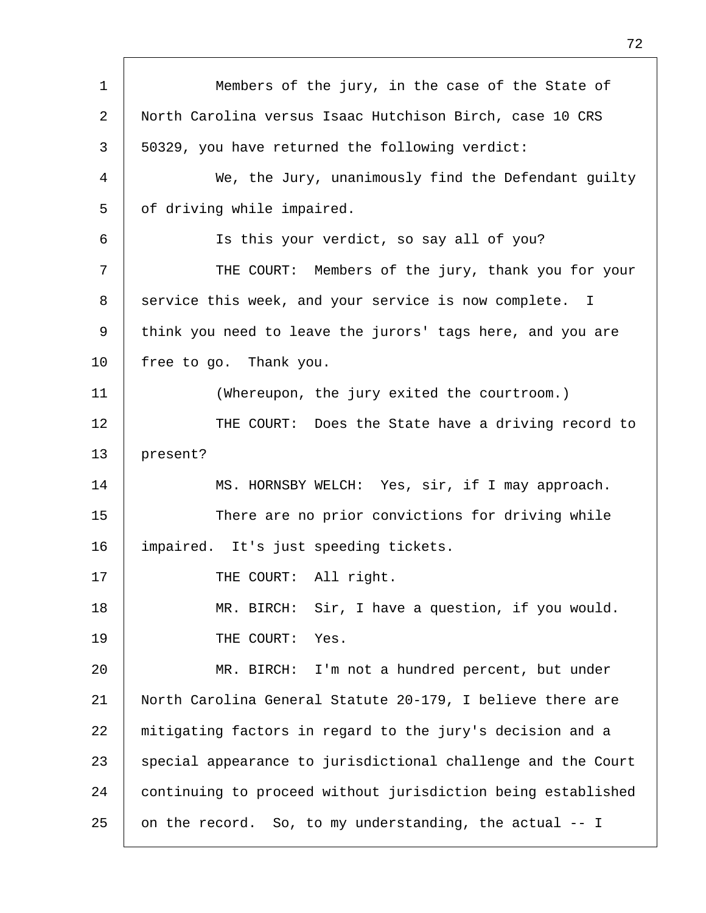| $\mathbf 1$ | Members of the jury, in the case of the State of             |  |
|-------------|--------------------------------------------------------------|--|
| 2           | North Carolina versus Isaac Hutchison Birch, case 10 CRS     |  |
| 3           | 50329, you have returned the following verdict:              |  |
| 4           | We, the Jury, unanimously find the Defendant guilty          |  |
| 5           | of driving while impaired.                                   |  |
| 6           | Is this your verdict, so say all of you?                     |  |
| 7           | THE COURT: Members of the jury, thank you for your           |  |
| 8           | service this week, and your service is now complete. I       |  |
| 9           | think you need to leave the jurors' tags here, and you are   |  |
| $10 \,$     | free to go. Thank you.                                       |  |
| 11          | (Whereupon, the jury exited the courtroom.)                  |  |
| 12          | THE COURT: Does the State have a driving record to           |  |
| 13          | present?                                                     |  |
| 14          | MS. HORNSBY WELCH: Yes, sir, if I may approach.              |  |
| 15          | There are no prior convictions for driving while             |  |
| 16          | impaired. It's just speeding tickets.                        |  |
| 17          | THE COURT: All right.                                        |  |
| 18          | Sir, I have a question, if you would.<br>MR. BIRCH:          |  |
| 19          | Yes.<br>THE COURT:                                           |  |
| 20          | I'm not a hundred percent, but under<br>MR. BIRCH:           |  |
| 21          | North Carolina General Statute 20-179, I believe there are   |  |
| 22          | mitigating factors in regard to the jury's decision and a    |  |
| 23          | special appearance to jurisdictional challenge and the Court |  |
| 24          | continuing to proceed without jurisdiction being established |  |
| 25          | on the record. So, to my understanding, the actual -- I      |  |

Г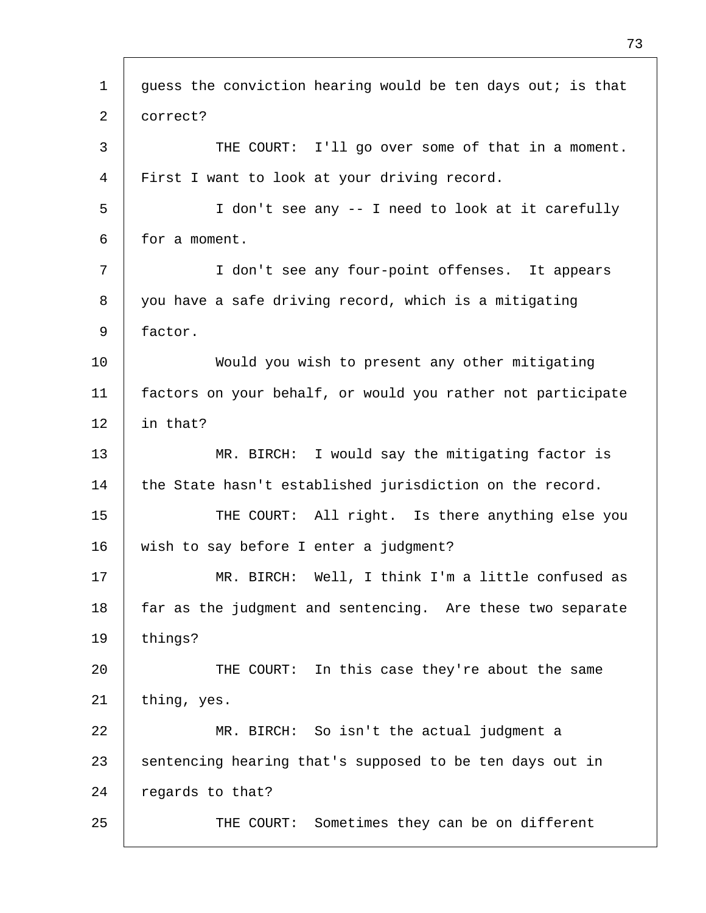| $\mathbf 1$ | guess the conviction hearing would be ten days out; is that |  |
|-------------|-------------------------------------------------------------|--|
| 2           | correct?                                                    |  |
| 3           | THE COURT: I'll go over some of that in a moment.           |  |
| 4           | First I want to look at your driving record.                |  |
| 5           | I don't see any -- I need to look at it carefully           |  |
| 6           | for a moment.                                               |  |
| 7           | I don't see any four-point offenses. It appears             |  |
| 8           | you have a safe driving record, which is a mitigating       |  |
| 9           | factor.                                                     |  |
| 10          | Would you wish to present any other mitigating              |  |
| 11          | factors on your behalf, or would you rather not participate |  |
| 12          | in that?                                                    |  |
| 13          | MR. BIRCH: I would say the mitigating factor is             |  |
| 14          | the State hasn't established jurisdiction on the record.    |  |
| 15          | THE COURT: All right. Is there anything else you            |  |
| 16          | wish to say before I enter a judgment?                      |  |
| 17          | MR. BIRCH: Well, I think I'm a little confused as           |  |
| 18          | far as the judgment and sentencing. Are these two separate  |  |
| 19          | things?                                                     |  |
| 20          | THE COURT: In this case they're about the same              |  |
| 21          | thing, yes.                                                 |  |
| 22          | MR. BIRCH: So isn't the actual judgment a                   |  |
| 23          | sentencing hearing that's supposed to be ten days out in    |  |
| 24          | regards to that?                                            |  |
| 25          | THE COURT: Sometimes they can be on different               |  |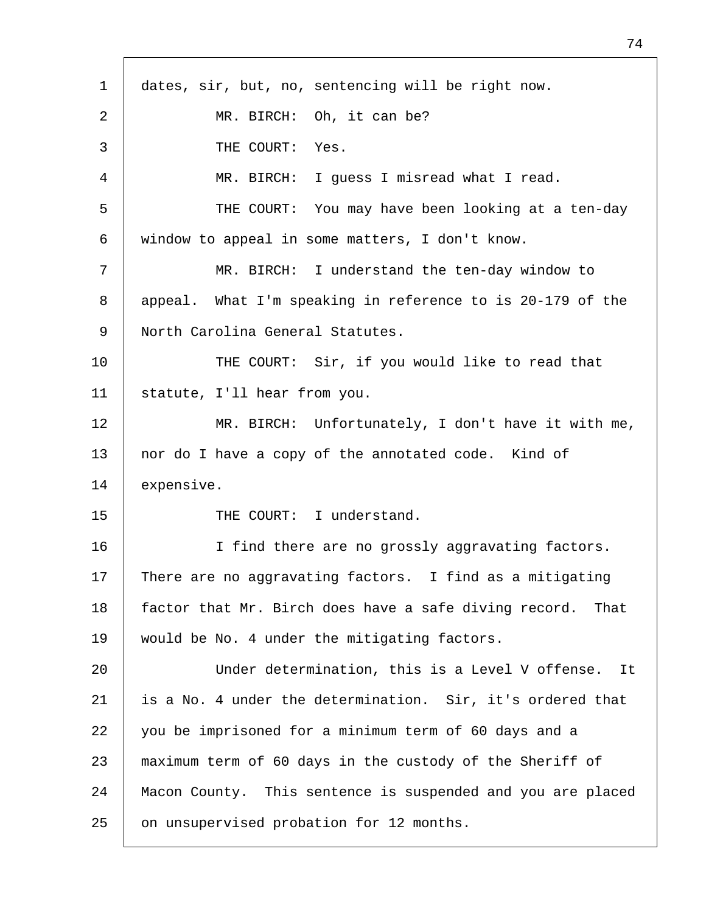| $\mathbf{1}$ | dates, sir, but, no, sentencing will be right now.            |  |
|--------------|---------------------------------------------------------------|--|
| 2            | MR. BIRCH: Oh, it can be?                                     |  |
| 3            | THE COURT: Yes.                                               |  |
| 4            | MR. BIRCH: I guess I misread what I read.                     |  |
| 5            | THE COURT: You may have been looking at a ten-day             |  |
| 6            | window to appeal in some matters, I don't know.               |  |
| 7            | MR. BIRCH: I understand the ten-day window to                 |  |
| 8            | appeal. What I'm speaking in reference to is 20-179 of the    |  |
| 9            | North Carolina General Statutes.                              |  |
| 10           | THE COURT: Sir, if you would like to read that                |  |
| 11           | statute, I'll hear from you.                                  |  |
| 12           | MR. BIRCH: Unfortunately, I don't have it with me,            |  |
| 13           | nor do I have a copy of the annotated code. Kind of           |  |
| 14           | expensive.                                                    |  |
| 15           | THE COURT: I understand.                                      |  |
| 16           | I find there are no grossly aggravating factors.              |  |
| 17           | There are no aggravating factors. I find as a mitigating      |  |
| 18           | factor that Mr. Birch does have a safe diving record.<br>That |  |
| 19           | would be No. 4 under the mitigating factors.                  |  |
| 20           | Under determination, this is a Level V offense.<br>It         |  |
| 21           | is a No. 4 under the determination. Sir, it's ordered that    |  |
| 22           | you be imprisoned for a minimum term of 60 days and a         |  |
| 23           | maximum term of 60 days in the custody of the Sheriff of      |  |
| 24           | Macon County. This sentence is suspended and you are placed   |  |
| 25           | on unsupervised probation for 12 months.                      |  |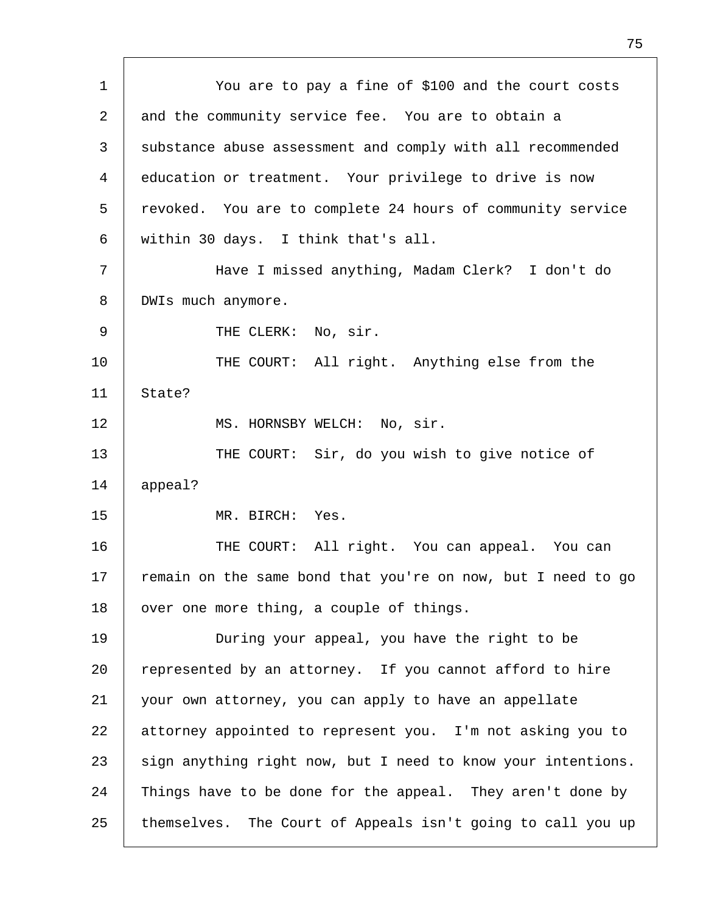1 2 3 4 5 6 7 8 9 10 11 12 13 14 15 16 17 18 19 20 21 22 23 24 25 You are to pay a fine of \$100 and the court costs and the community service fee. You are to obtain a substance abuse assessment and comply with all recommended education or treatment. Your privilege to drive is now revoked. You are to complete 24 hours of community service within 30 days. I think that's all. Have I missed anything, Madam Clerk? I don't do DWIs much anymore. THE CLERK: No, sir. THE COURT: All right. Anything else from the State? MS. HORNSBY WELCH: No, sir. THE COURT: Sir, do you wish to give notice of appeal? MR. BIRCH: Yes. THE COURT: All right. You can appeal. You can remain on the same bond that you're on now, but I need to go over one more thing, a couple of things. During your appeal, you have the right to be represented by an attorney. If you cannot afford to hire your own attorney, you can apply to have an appellate attorney appointed to represent you. I'm not asking you to sign anything right now, but I need to know your intentions. Things have to be done for the appeal. They aren't done by themselves. The Court of Appeals isn't going to call you up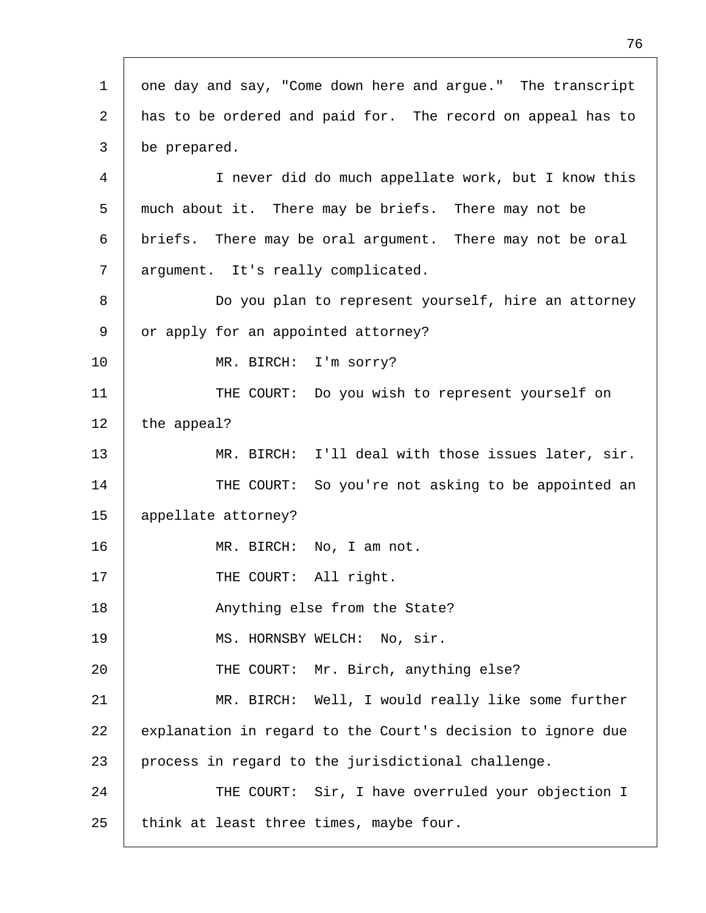| $\mathbf{1}$ | one day and say, "Come down here and argue." The transcript |  |
|--------------|-------------------------------------------------------------|--|
| 2            | has to be ordered and paid for. The record on appeal has to |  |
| 3            | be prepared.                                                |  |
| 4            | I never did do much appellate work, but I know this         |  |
| 5            | much about it. There may be briefs. There may not be        |  |
| 6            | briefs. There may be oral argument. There may not be oral   |  |
| 7            | argument. It's really complicated.                          |  |
| 8            | Do you plan to represent yourself, hire an attorney         |  |
| 9            | or apply for an appointed attorney?                         |  |
| 10           | MR. BIRCH: I'm sorry?                                       |  |
| 11           | THE COURT: Do you wish to represent yourself on             |  |
| 12           | the appeal?                                                 |  |
| 13           | MR. BIRCH: I'll deal with those issues later, sir.          |  |
| 14           | THE COURT: So you're not asking to be appointed an          |  |
| 15           | appellate attorney?                                         |  |
| 16           | MR. BIRCH: No, I am not.                                    |  |
| 17           | THE COURT: All right.                                       |  |
| 18           | Anything else from the State?                               |  |
| 19           | MS. HORNSBY WELCH: No, sir.                                 |  |
| 20           | THE COURT: Mr. Birch, anything else?                        |  |
| 21           | MR. BIRCH: Well, I would really like some further           |  |
| 22           | explanation in regard to the Court's decision to ignore due |  |
| 23           | process in regard to the jurisdictional challenge.          |  |
| 24           | THE COURT: Sir, I have overruled your objection I           |  |
| 25           | think at least three times, maybe four.                     |  |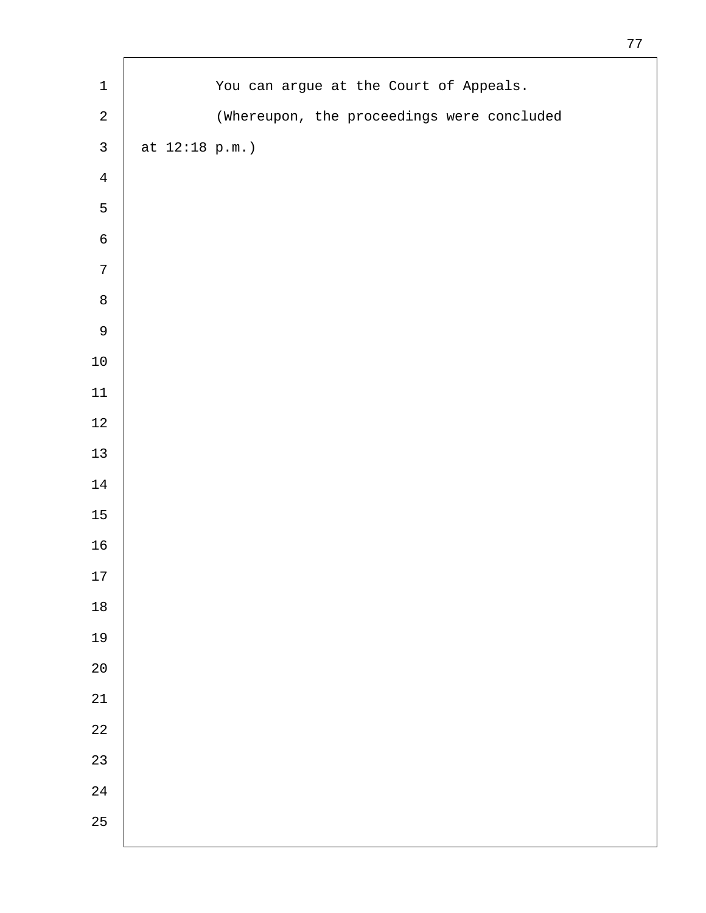| $\mathbf 1$    |                 | You can argue at the Court of Appeals.     |
|----------------|-----------------|--------------------------------------------|
| $\sqrt{2}$     |                 | (Whereupon, the proceedings were concluded |
| $\mathbf{3}$   | at $12:18 p.m.$ |                                            |
| $\overline{4}$ |                 |                                            |
| $\mathsf S$    |                 |                                            |
| $\epsilon$     |                 |                                            |
| $\sqrt{ }$     |                 |                                            |
| $\,8\,$        |                 |                                            |
| $\mathsf 9$    |                 |                                            |
| $10\,$         |                 |                                            |
| $11\,$         |                 |                                            |
| $1\,2$         |                 |                                            |
| $13\,$         |                 |                                            |
| $1\,4$         |                 |                                            |
| 15             |                 |                                            |
| 16             |                 |                                            |
| 17             |                 |                                            |
| $1\,8$         |                 |                                            |
| 19             |                 |                                            |
| $2\,0$         |                 |                                            |
| $2\sqrt{1}$    |                 |                                            |
| $2\sqrt{2}$    |                 |                                            |
| 23             |                 |                                            |
| $2\sqrt{4}$    |                 |                                            |
| 25             |                 |                                            |
|                |                 |                                            |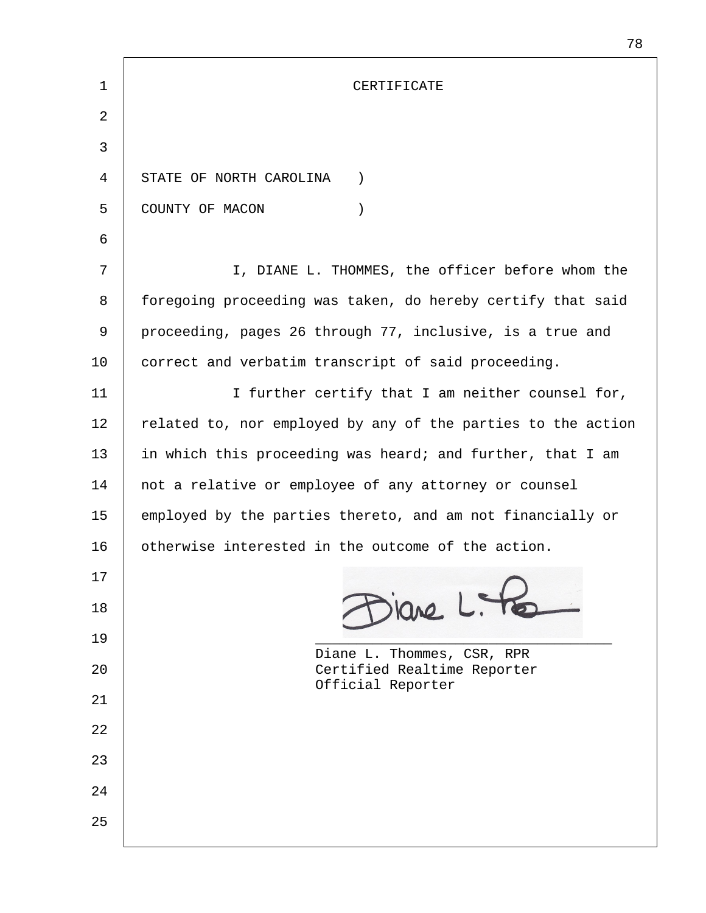| 1  | CERTIFICATE                                                  |
|----|--------------------------------------------------------------|
| 2  |                                                              |
|    |                                                              |
| 3  |                                                              |
| 4  | STATE OF NORTH CAROLINA<br>$\left( \right)$                  |
| 5  | COUNTY OF MACON<br>$\left( \right)$                          |
| 6  |                                                              |
| 7  | I, DIANE L. THOMMES, the officer before whom the             |
| 8  | foregoing proceeding was taken, do hereby certify that said  |
| 9  | proceeding, pages 26 through 77, inclusive, is a true and    |
| 10 | correct and verbatim transcript of said proceeding.          |
| 11 | I further certify that I am neither counsel for,             |
| 12 | related to, nor employed by any of the parties to the action |
| 13 | in which this proceeding was heard; and further, that I am   |
| 14 | not a relative or employee of any attorney or counsel        |
| 15 | employed by the parties thereto, and am not financially or   |
| 16 | otherwise interested in the outcome of the action.           |
| 17 |                                                              |
| 18 | ilane L. He                                                  |
| 19 | Diane L. Thommes, CSR, RPR                                   |
| 20 | Certified Realtime Reporter<br>Official Reporter             |
| 21 |                                                              |
| 22 |                                                              |
| 23 |                                                              |
| 24 |                                                              |
| 25 |                                                              |
|    |                                                              |